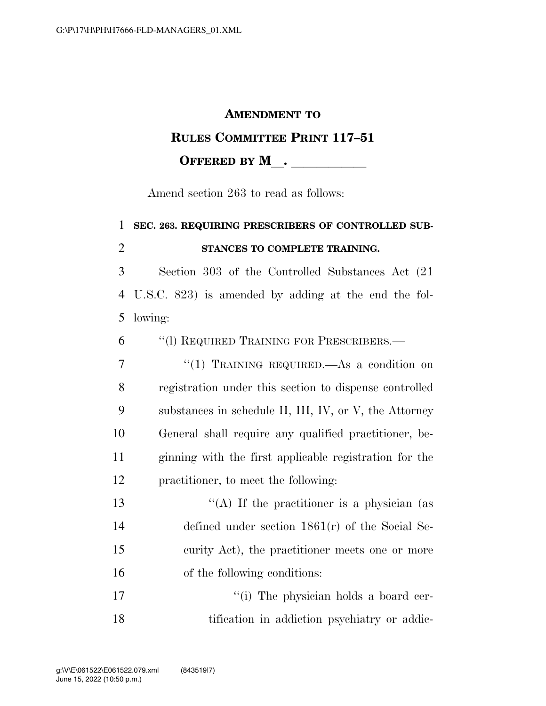#### **AMENDMENT TO**

### **RULES COMMITTEE PRINT 117–51**

**OFFERED BY M** .

Amend section 263 to read as follows:

# 1 **SEC. 263. REQUIRING PRESCRIBERS OF CONTROLLED SUB-**2 **STANCES TO COMPLETE TRAINING.**  3 Section 303 of the Controlled Substances Act (21 4 U.S.C. 823) is amended by adding at the end the fol-5 lowing: 6 ''(l) REQUIRED TRAINING FOR PRESCRIBERS.— 7 "(1) TRAINING REQUIRED.—As a condition on 8 registration under this section to dispense controlled 9 substances in schedule II, III, IV, or V, the Attorney 10 General shall require any qualified practitioner, be-11 ginning with the first applicable registration for the 12 practitioner, to meet the following:

 $\langle (A)$  If the practitioner is a physician (as defined under section 1861(r) of the Social Se- curity Act), the practitioner meets one or more of the following conditions:

17  $\frac{1}{10}$  The physician holds a board cer-18 tification in addiction psychiatry or addic-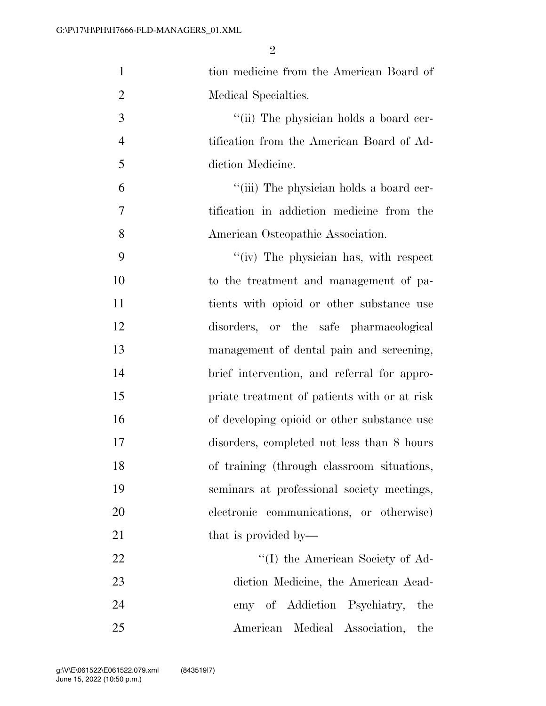| $\mathbf{1}$   | tion medicine from the American Board of     |
|----------------|----------------------------------------------|
| $\overline{2}$ | Medical Specialties.                         |
| 3              | "(ii) The physician holds a board cer-       |
| $\overline{4}$ | tification from the American Board of Ad-    |
| 5              | diction Medicine.                            |
| 6              | "(iii) The physician holds a board cer-      |
| 7              | tification in addiction medicine from the    |
| 8              | American Osteopathic Association.            |
| 9              | "(iv) The physician has, with respect        |
| 10             | to the treatment and management of pa-       |
| 11             | tients with opioid or other substance use    |
| 12             | disorders, or the safe pharmacological       |
| 13             | management of dental pain and screening,     |
| 14             | brief intervention, and referral for appro-  |
| 15             | priate treatment of patients with or at risk |
| 16             | of developing opioid or other substance use  |
| 17             | disorders, completed not less than 8 hours   |
| 18             | of training (through classroom situations,   |
| 19             | seminars at professional society meetings,   |
| 20             | electronic communications, or otherwise)     |
| 21             | that is provided by—                         |
| 22             | "(I) the American Society of Ad-             |
| 23             | diction Medicine, the American Acad-         |
| 24             | emy of Addiction Psychiatry,<br>the          |
| 25             | Medical Association,<br>American<br>the      |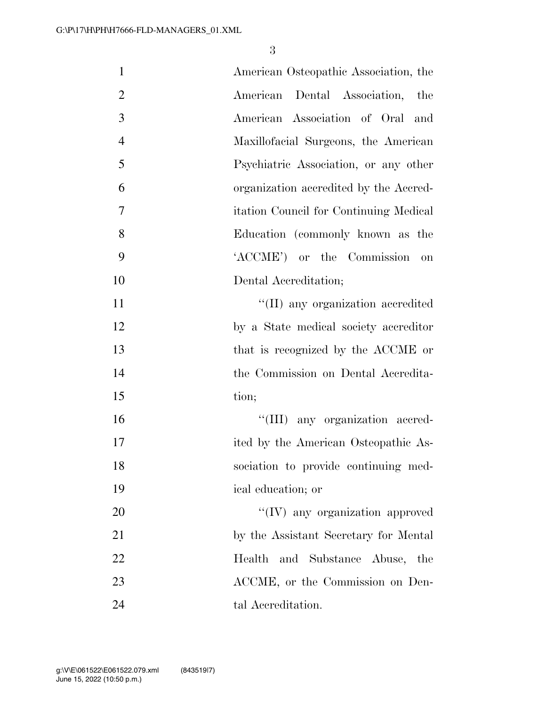| $\mathbf{1}$   | American Osteopathic Association, the   |
|----------------|-----------------------------------------|
| $\overline{2}$ | American Dental Association,<br>the     |
| 3              | American Association of Oral<br>and     |
| $\overline{4}$ | Maxillofacial Surgeons, the American    |
| 5              | Psychiatric Association, or any other   |
| 6              | organization accredited by the Accred-  |
| $\overline{7}$ | itation Council for Continuing Medical  |
| 8              | Education (commonly known as the        |
| 9              | 'ACCME') or the Commission<br>on        |
| 10             | Dental Accreditation;                   |
| 11             | "(II) any organization accredited       |
| 12             | by a State medical society accreditor   |
| 13             | that is recognized by the ACCME or      |
| 14             | the Commission on Dental Accredita-     |
| 15             | tion;                                   |
| 16             | "(III) any organization accred-         |
| 17             | ited by the American Osteopathic As-    |
| 18             | sociation to provide continuing med-    |
| 19             | ical education; or                      |
| 20             | $\lq\lq$ (IV) any organization approved |
| 21             | by the Assistant Secretary for Mental   |
| 22             | Health and Substance Abuse, the         |
| 23             | ACCME, or the Commission on Den-        |
| 24             | tal Accreditation.                      |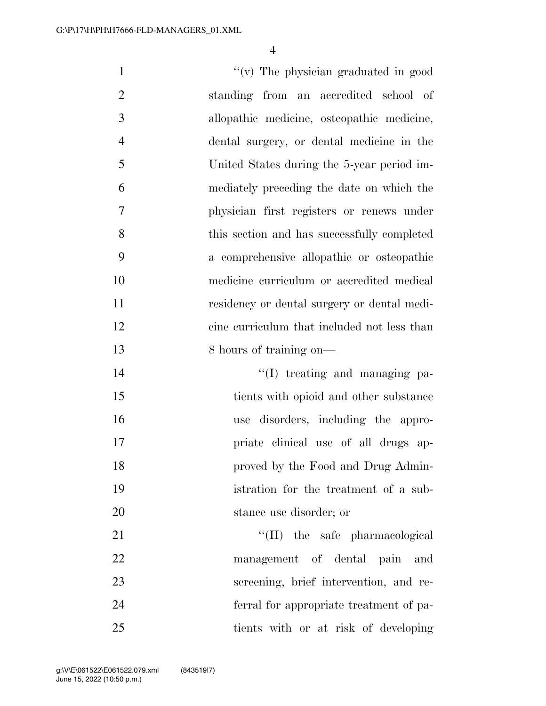$''(v)$  The physician graduated in good standing from an accredited school of allopathic medicine, osteopathic medicine, dental surgery, or dental medicine in the United States during the 5-year period im- mediately preceding the date on which the physician first registers or renews under this section and has successfully completed a comprehensive allopathic or osteopathic medicine curriculum or accredited medical residency or dental surgery or dental medi- cine curriculum that included not less than 13 8 hours of training on—  $\text{``(I)}$  treating and managing pa- tients with opioid and other substance use disorders, including the appro- priate clinical use of all drugs ap- proved by the Food and Drug Admin- istration for the treatment of a sub- stance use disorder; or 21 ''(II) the safe pharmacological management of dental pain and screening, brief intervention, and re- ferral for appropriate treatment of pa-tients with or at risk of developing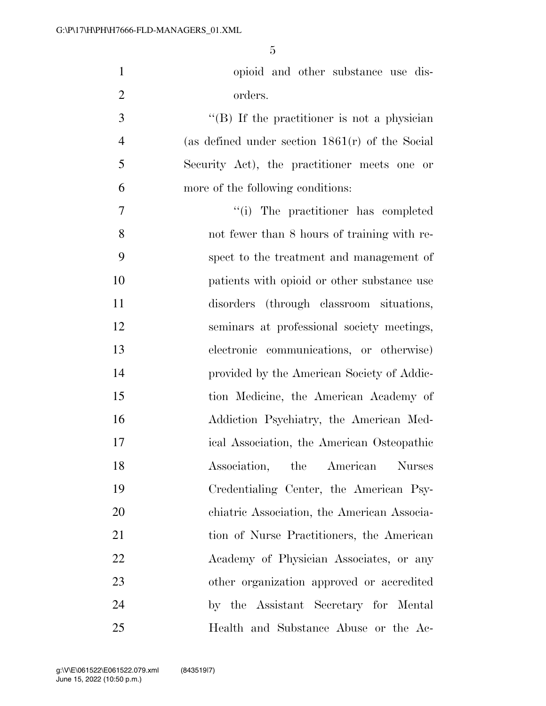| $\mathbf{1}$   | opioid and other substance use dis-                 |
|----------------|-----------------------------------------------------|
| $\overline{2}$ | orders.                                             |
| 3              | $\lq\lq (B)$ If the practitioner is not a physician |
| $\overline{4}$ | (as defined under section $1861(r)$ of the Social   |
| 5              | Security Act), the practitioner meets one or        |
| 6              | more of the following conditions:                   |
| 7              | "(i) The practitioner has completed                 |
| 8              | not fewer than 8 hours of training with re-         |
| 9              | spect to the treatment and management of            |
| 10             | patients with opioid or other substance use         |
| 11             | disorders (through classroom situations,            |
| 12             | seminars at professional society meetings,          |
| 13             | electronic communications, or otherwise)            |
| 14             | provided by the American Society of Addic-          |
| 15             | tion Medicine, the American Academy of              |
| 16             | Addiction Psychiatry, the American Med-             |
| 17             | ical Association, the American Osteopathic          |
| 18             | Association, the American Nurses                    |
| 19             | Credentialing Center, the American Psy-             |
| 20             | chiatric Association, the American Associa-         |
| 21             | tion of Nurse Practitioners, the American           |
| 22             | Academy of Physician Associates, or any             |
| 23             | other organization approved or accredited           |
| 24             | by the Assistant Secretary for Mental               |
| 25             | Health and Substance Abuse or the Ac-               |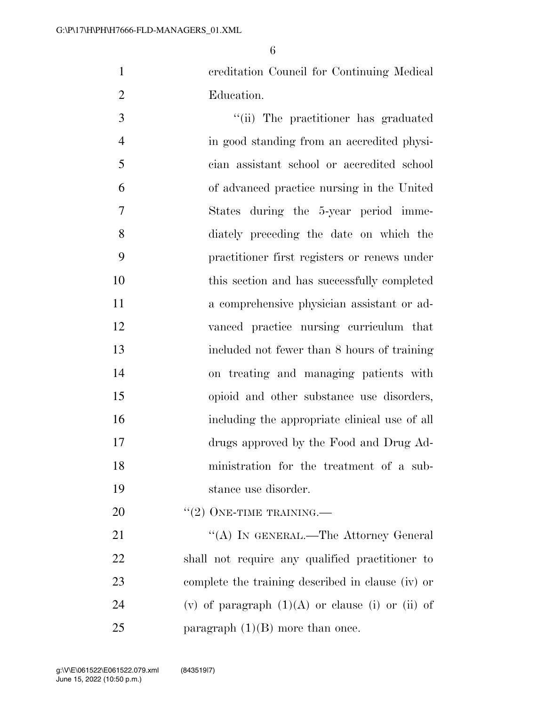creditation Council for Continuing Medical Education.

 $\frac{1}{10}$  The practitioner has graduated in good standing from an accredited physi- cian assistant school or accredited school of advanced practice nursing in the United States during the 5-year period imme- diately preceding the date on which the practitioner first registers or renews under this section and has successfully completed a comprehensive physician assistant or ad- vanced practice nursing curriculum that included not fewer than 8 hours of training on treating and managing patients with opioid and other substance use disorders, including the appropriate clinical use of all drugs approved by the Food and Drug Ad- ministration for the treatment of a sub-stance use disorder.

20  $((2)$  ONE-TIME TRAINING.—

21 ""(A) IN GENERAL.—The Attorney General shall not require any qualified practitioner to complete the training described in clause (iv) or 24 (v) of paragraph  $(1)(A)$  or clause (i) or (ii) of 25 paragraph  $(1)(B)$  more than once.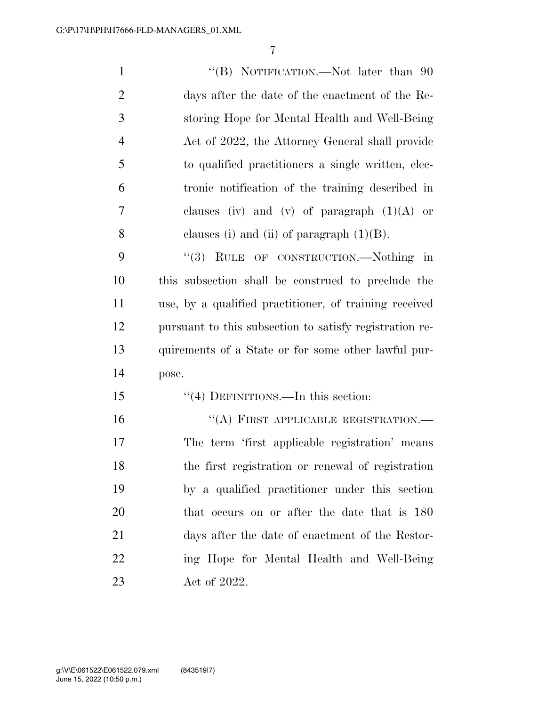| $\mathbf{1}$   | "(B) NOTIFICATION.—Not later than 90                    |
|----------------|---------------------------------------------------------|
| $\mathfrak{2}$ | days after the date of the enactment of the Re-         |
| 3              | storing Hope for Mental Health and Well-Being           |
| $\overline{4}$ | Act of 2022, the Attorney General shall provide         |
| 5              | to qualified practitioners a single written, elec-      |
| 6              | tronic notification of the training described in        |
| 7              | clauses (iv) and (v) of paragraph $(1)(A)$ or           |
| 8              | clauses (i) and (ii) of paragraph $(1)(B)$ .            |
| 9              | "(3) RULE OF CONSTRUCTION.—Nothing in                   |
| 10             | this subsection shall be construed to preclude the      |
| 11             | use, by a qualified practitioner, of training received  |
| 12             | pursuant to this subsection to satisfy registration re- |
| 13             | quirements of a State or for some other lawful pur-     |
| 14             | pose.                                                   |
| 15             | "(4) DEFINITIONS.—In this section:                      |
| 16             | "(A) FIRST APPLICABLE REGISTRATION.-                    |
| 17             | The term 'first applicable registration' means          |
| 18             | the first registration or renewal of registration       |
| 19             | by a qualified practitioner under this section          |
| 20             | that occurs on or after the date that is 180            |
| 21             | days after the date of enactment of the Restor-         |
| 22             | ing Hope for Mental Health and Well-Being               |
| 23             | Act of 2022.                                            |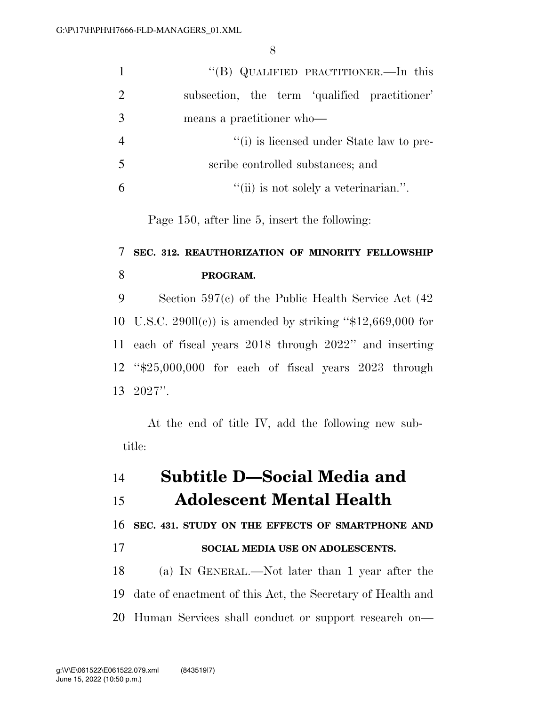|    | "(B) QUALIFIED PRACTITIONER.—In this          |
|----|-----------------------------------------------|
| 2  | subsection, the term 'qualified practitioner' |
|    | means a practitioner who-                     |
|    | "(i) is licensed under State law to pre-      |
| -5 | scribe controlled substances; and             |
|    | "(ii) is not solely a veterinarian.".         |

Page 150, after line 5, insert the following:

# **SEC. 312. REAUTHORIZATION OF MINORITY FELLOWSHIP PROGRAM.**

 Section 597(c) of the Public Health Service Act (42 10 U.S.C. 290ll(c)) is amended by striking " $$12,669,000$  for each of fiscal years 2018 through 2022'' and inserting ''\$25,000,000 for each of fiscal years 2023 through 2027''.

At the end of title IV, add the following new subtitle:

| 14 | <b>Subtitle D-Social Media and</b>                            |
|----|---------------------------------------------------------------|
| 15 | <b>Adolescent Mental Health</b>                               |
|    | 16 SEC. 431. STUDY ON THE EFFECTS OF SMARTPHONE AND           |
| 17 | SOCIAL MEDIA USE ON ADOLESCENTS.                              |
| 18 | (a) IN GENERAL.—Not later than 1 year after the               |
|    | 19 date of enactment of this Act, the Secretary of Health and |
|    | 20 Human Services shall conduct or support research on—       |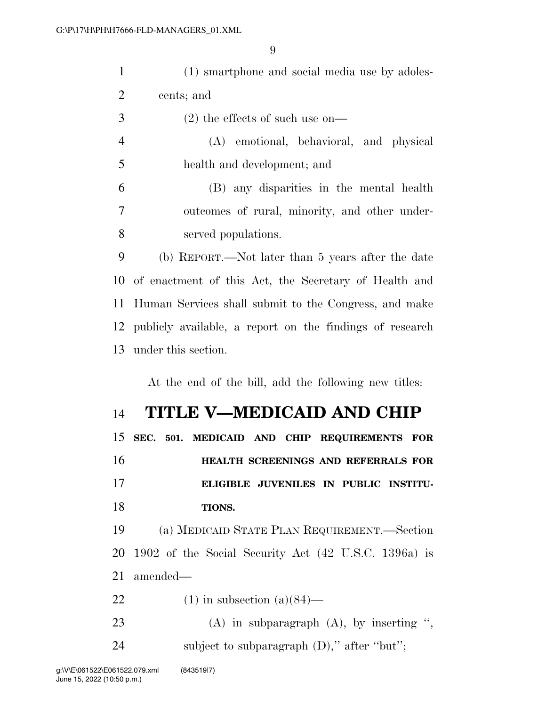| $\mathbf{1}$   | (1) smartphone and social media use by adoles-           |
|----------------|----------------------------------------------------------|
| $\overline{2}$ | cents; and                                               |
| 3              | $(2)$ the effects of such use on-                        |
| $\overline{4}$ | (A) emotional, behavioral, and physical                  |
| 5              | health and development; and                              |
| 6              | (B) any disparities in the mental health                 |
| $\tau$         | outcomes of rural, minority, and other under-            |
| 8              | served populations.                                      |
| 9              | (b) REPORT.—Not later than 5 years after the date        |
| 10             | of enactment of this Act, the Secretary of Health and    |
| 11             | Human Services shall submit to the Congress, and make    |
| 12             | publicly available, a report on the findings of research |
| 13             | under this section.                                      |
|                |                                                          |
|                | At the end of the bill, add the following new titles:    |
| 14             | TITLE V-MEDICAID AND CHIP                                |
| 15             | SEC. 501.<br>MEDICAID AND CHIP REQUIREMENTS FOR          |
| 16             | HEALTH SCREENINGS AND REFERRALS FOR                      |
| 17             | ELIGIBLE JUVENILES IN PUBLIC INSTITU-                    |
| 18             | TIONS.                                                   |
| 19             | (a) MEDICAID STATE PLAN REQUIREMENT.-Section             |
| 20             | 1902 of the Social Security Act (42 U.S.C. 1396a) is     |
| 21             | amended—                                                 |
| 22             | $(1)$ in subsection $(a)(84)$ —                          |
| 23             | $(A)$ in subparagraph $(A)$ , by inserting ",            |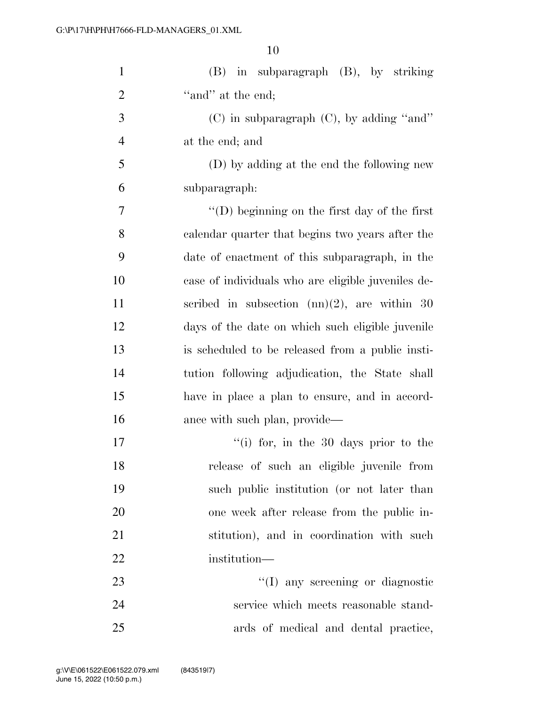| $\mathbf{1}$   | (B) in subparagraph (B), by striking                 |
|----------------|------------------------------------------------------|
| $\overline{2}$ | "and" at the end;                                    |
| 3              | $(C)$ in subparagraph $(C)$ , by adding "and"        |
| $\overline{4}$ | at the end; and                                      |
| 5              | (D) by adding at the end the following new           |
| 6              | subparagraph:                                        |
| $\overline{7}$ | $\lq\lq$ (D) beginning on the first day of the first |
| 8              | calendar quarter that begins two years after the     |
| 9              | date of enactment of this subparagraph, in the       |
| 10             | case of individuals who are eligible juveniles de-   |
| 11             | scribed in subsection $(m)(2)$ , are within 30       |
| 12             | days of the date on which such eligible juvenile     |
| 13             | is scheduled to be released from a public insti-     |
| 14             | tution following adjudication, the State shall       |
| 15             | have in place a plan to ensure, and in accord-       |
| 16             | ance with such plan, provide—                        |
| 17             | "(i) for, in the 30 days prior to the                |
| 18             | release of such an eligible juvenile from            |
| 19             | such public institution (or not later than           |
| 20             | one week after release from the public in-           |
| 21             | stitution), and in coordination with such            |
| 22             | institution—                                         |
| 23             | "(I) any screening or diagnostic                     |
| 24             | service which meets reasonable stand-                |
| 25             | ards of medical and dental practice,                 |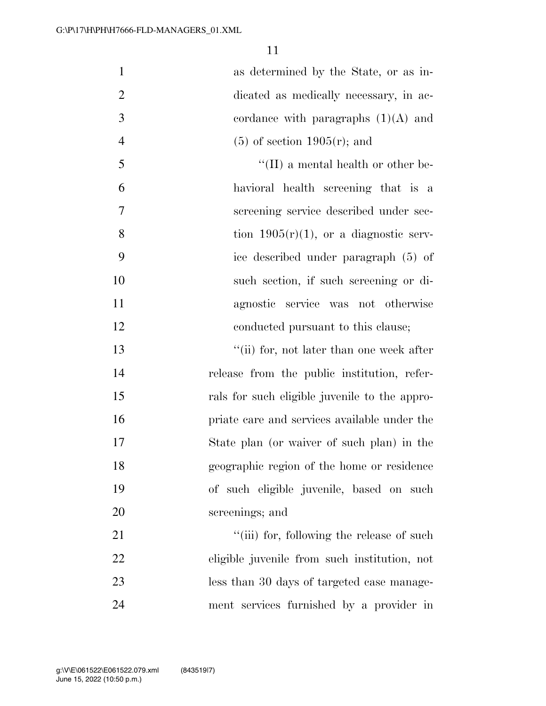| $\mathbf{1}$   | as determined by the State, or as in-         |
|----------------|-----------------------------------------------|
| $\overline{2}$ | dicated as medically necessary, in ac-        |
| 3              | cordance with paragraphs $(1)(A)$ and         |
| $\overline{4}$ | $(5)$ of section 1905 $(r)$ ; and             |
| 5              | $\lq\lq$ (II) a mental health or other be-    |
| 6              | havioral health screening that is a           |
| 7              | screening service described under sec-        |
| 8              | tion $1905(r)(1)$ , or a diagnostic serv-     |
| 9              | ice described under paragraph (5) of          |
| 10             | such section, if such screening or di-        |
| 11             | agnostic service was not otherwise            |
| 12             | conducted pursuant to this clause;            |
| 13             | "(ii) for, not later than one week after      |
| 14             | release from the public institution, refer-   |
| 15             | rals for such eligible juvenile to the appro- |
| 16             | priate care and services available under the  |
| 17             | State plan (or waiver of such plan) in the    |
| 18             | geographic region of the home or residence    |
| 19             | of such eligible juvenile, based on such      |
| 20             | screenings; and                               |
| 21             | "(iii) for, following the release of such     |
| 22             | eligible juvenile from such institution, not  |
| 23             | less than 30 days of targeted case manage-    |
| 24             | ment services furnished by a provider in      |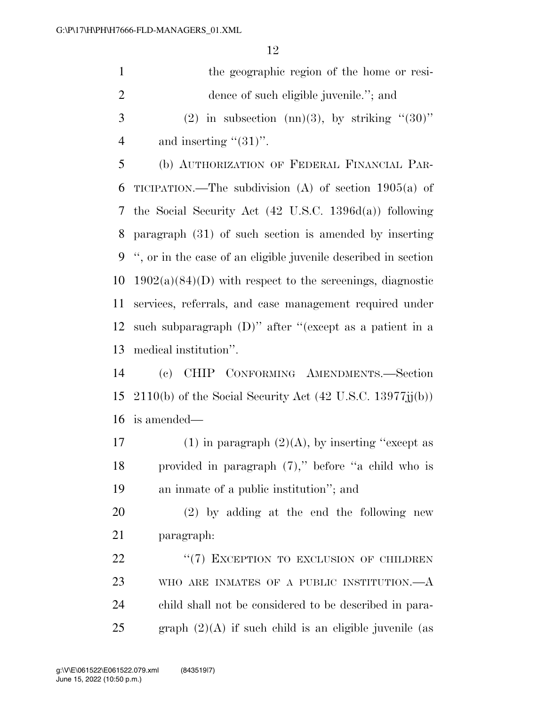| $\mathbf{1}$   | the geographic region of the home or resi-                       |
|----------------|------------------------------------------------------------------|
| $\overline{2}$ | dence of such eligible juvenile."; and                           |
| 3              | (2) in subsection (nn)(3), by striking " $(30)$ "                |
| $\overline{4}$ | and inserting " $(31)$ ".                                        |
| 5              | (b) AUTHORIZATION OF FEDERAL FINANCIAL PAR-                      |
| 6              | TICIPATION.—The subdivision (A) of section $1905(a)$ of          |
|                | 7 the Social Security Act (42 U.S.C. 1396d(a)) following         |
| 8              | paragraph (31) of such section is amended by inserting           |
|                | 9 ", or in the case of an eligible juvenile described in section |
|                | 10 $1902(a)(84)(D)$ with respect to the screenings, diagnostic   |
| 11             | services, referrals, and case management required under          |
| 12             | such subparagraph $(D)$ " after "(except as a patient in a       |
|                | 13 medical institution".                                         |
|                |                                                                  |

 (c) CHIP CONFORMING AMENDMENTS.—Section 15 2110(b) of the Social Security Act  $(42 \text{ U.S.C. } 13977 \text{jj(b)})$ is amended—

17 (1) in paragraph  $(2)(A)$ , by inserting "except as provided in paragraph (7),'' before ''a child who is an inmate of a public institution''; and

 (2) by adding at the end the following new paragraph:

22 "(7) EXCEPTION TO EXCLUSION OF CHILDREN WHO ARE INMATES OF A PUBLIC INSTITUTION.—A child shall not be considered to be described in para-25 graph  $(2)(A)$  if such child is an eligible juvenile (as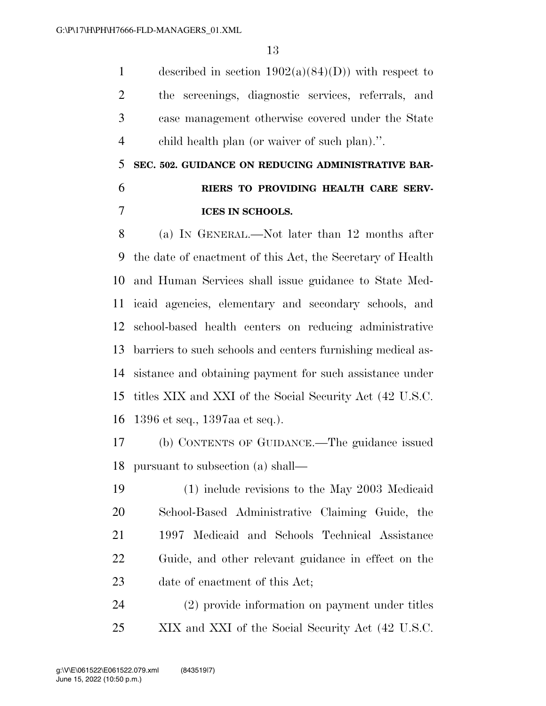1 described in section  $1902(a)(84)(D)$  with respect to the screenings, diagnostic services, referrals, and case management otherwise covered under the State child health plan (or waiver of such plan).''.

# **SEC. 502. GUIDANCE ON REDUCING ADMINISTRATIVE BAR- RIERS TO PROVIDING HEALTH CARE SERV-ICES IN SCHOOLS.**

 (a) IN GENERAL.—Not later than 12 months after the date of enactment of this Act, the Secretary of Health and Human Services shall issue guidance to State Med- icaid agencies, elementary and secondary schools, and school-based health centers on reducing administrative barriers to such schools and centers furnishing medical as- sistance and obtaining payment for such assistance under titles XIX and XXI of the Social Security Act (42 U.S.C. 1396 et seq., 1397aa et seq.).

 (b) CONTENTS OF GUIDANCE.—The guidance issued pursuant to subsection (a) shall—

 (1) include revisions to the May 2003 Medicaid School-Based Administrative Claiming Guide, the 1997 Medicaid and Schools Technical Assistance Guide, and other relevant guidance in effect on the date of enactment of this Act;

 (2) provide information on payment under titles XIX and XXI of the Social Security Act (42 U.S.C.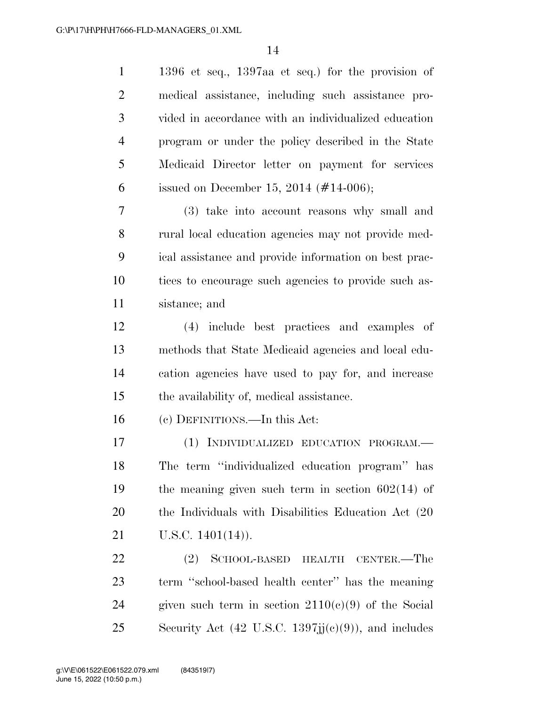| $\mathbf{1}$   | 1396 et seq., 1397aa et seq.) for the provision of                      |
|----------------|-------------------------------------------------------------------------|
| $\overline{2}$ | medical assistance, including such assistance pro-                      |
| 3              | vided in accordance with an individualized education                    |
| $\overline{4}$ | program or under the policy described in the State                      |
| 5              | Medicaid Director letter on payment for services                        |
| 6              | issued on December 15, 2014 $(\#14{\text -}006)$ ;                      |
| 7              | (3) take into account reasons why small and                             |
| 8              | rural local education agencies may not provide med-                     |
| 9              | ical assistance and provide information on best prac-                   |
| 10             | tices to encourage such agencies to provide such as-                    |
| 11             | sistance; and                                                           |
| 12             | (4) include best practices and examples of                              |
| 13             | methods that State Medicaid agencies and local edu-                     |
| 14             | cation agencies have used to pay for, and increase                      |
| 15             | the availability of, medical assistance.                                |
| 16             | (c) DEFINITIONS.—In this Act:                                           |
| 17             | (1) INDIVIDUALIZED EDUCATION PROGRAM.-                                  |
| 18             | The term "individualized education program" has                         |
| 19             | the meaning given such term in section $602(14)$ of                     |
| 20             | the Individuals with Disabilities Education Act (20)                    |
| 21             | U.S.C. $1401(14)$ ).                                                    |
| 22             | SCHOOL-BASED HEALTH<br>(2)<br>CENTER.—The                               |
| 23             | term "school-based health center" has the meaning                       |
| 24             | given such term in section $2110(c)(9)$ of the Social                   |
| 25             | Security Act $(42 \text{ U.S.C. } 1397 \text{jj}(e)(9))$ , and includes |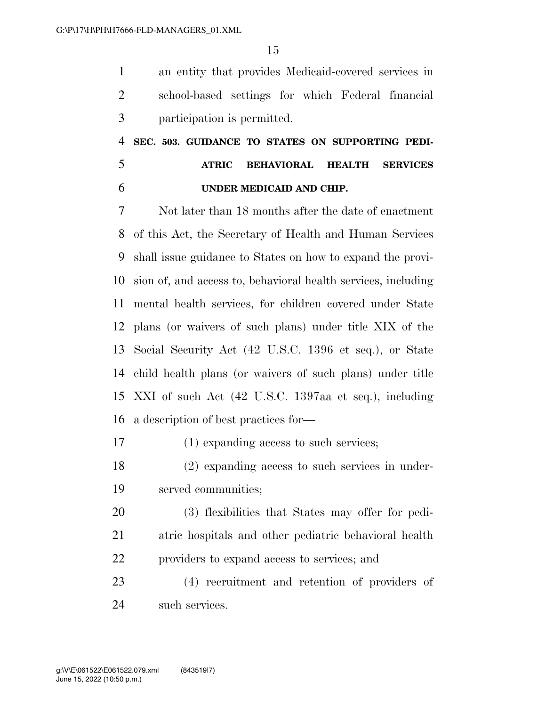an entity that provides Medicaid-covered services in school-based settings for which Federal financial participation is permitted.

 **SEC. 503. GUIDANCE TO STATES ON SUPPORTING PEDI- ATRIC BEHAVIORAL HEALTH SERVICES UNDER MEDICAID AND CHIP.** 

 Not later than 18 months after the date of enactment of this Act, the Secretary of Health and Human Services shall issue guidance to States on how to expand the provi- sion of, and access to, behavioral health services, including mental health services, for children covered under State plans (or waivers of such plans) under title XIX of the Social Security Act (42 U.S.C. 1396 et seq.), or State child health plans (or waivers of such plans) under title XXI of such Act (42 U.S.C. 1397aa et seq.), including a description of best practices for—

(1) expanding access to such services;

 (2) expanding access to such services in under-served communities;

 (3) flexibilities that States may offer for pedi- atric hospitals and other pediatric behavioral health providers to expand access to services; and

 (4) recruitment and retention of providers of such services.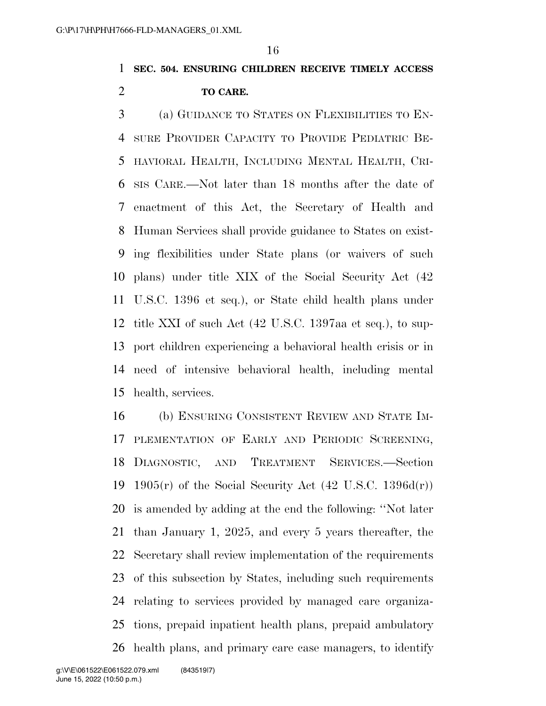### **SEC. 504. ENSURING CHILDREN RECEIVE TIMELY ACCESS TO CARE.**

 (a) GUIDANCE TO STATES ON FLEXIBILITIES TO EN- SURE PROVIDER CAPACITY TO PROVIDE PEDIATRIC BE- HAVIORAL HEALTH, INCLUDING MENTAL HEALTH, CRI- SIS CARE.—Not later than 18 months after the date of enactment of this Act, the Secretary of Health and Human Services shall provide guidance to States on exist- ing flexibilities under State plans (or waivers of such plans) under title XIX of the Social Security Act (42 U.S.C. 1396 et seq.), or State child health plans under title XXI of such Act (42 U.S.C. 1397aa et seq.), to sup- port children experiencing a behavioral health crisis or in need of intensive behavioral health, including mental health, services.

 (b) ENSURING CONSISTENT REVIEW AND STATE IM-17 PLEMENTATION OF EARLY AND PERIODIC SCREENING, DIAGNOSTIC, AND TREATMENT SERVICES.—Section 19 1905 $(r)$  of the Social Security Act  $(42 \text{ U.S.C. } 1396d(r))$  is amended by adding at the end the following: ''Not later than January 1, 2025, and every 5 years thereafter, the Secretary shall review implementation of the requirements of this subsection by States, including such requirements relating to services provided by managed care organiza- tions, prepaid inpatient health plans, prepaid ambulatory health plans, and primary care case managers, to identify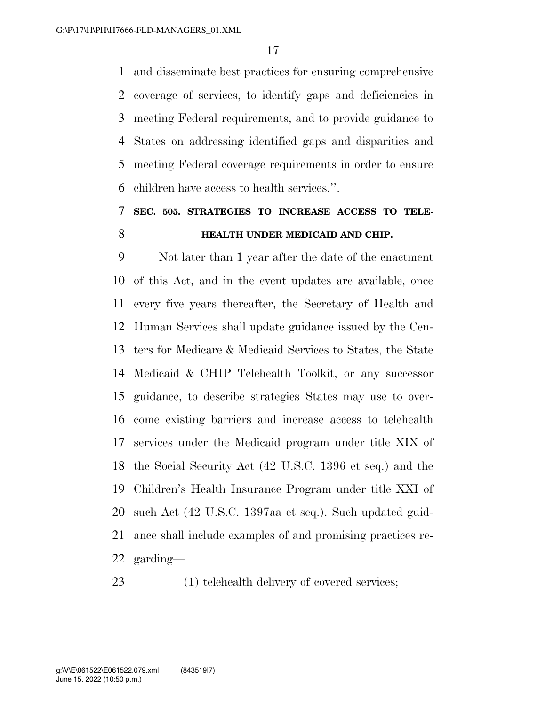and disseminate best practices for ensuring comprehensive coverage of services, to identify gaps and deficiencies in meeting Federal requirements, and to provide guidance to States on addressing identified gaps and disparities and meeting Federal coverage requirements in order to ensure children have access to health services.''.

# **SEC. 505. STRATEGIES TO INCREASE ACCESS TO TELE-HEALTH UNDER MEDICAID AND CHIP.**

 Not later than 1 year after the date of the enactment of this Act, and in the event updates are available, once every five years thereafter, the Secretary of Health and Human Services shall update guidance issued by the Cen- ters for Medicare & Medicaid Services to States, the State Medicaid & CHIP Telehealth Toolkit, or any successor guidance, to describe strategies States may use to over- come existing barriers and increase access to telehealth services under the Medicaid program under title XIX of the Social Security Act (42 U.S.C. 1396 et seq.) and the Children's Health Insurance Program under title XXI of such Act (42 U.S.C. 1397aa et seq.). Such updated guid- ance shall include examples of and promising practices re-garding—

(1) telehealth delivery of covered services;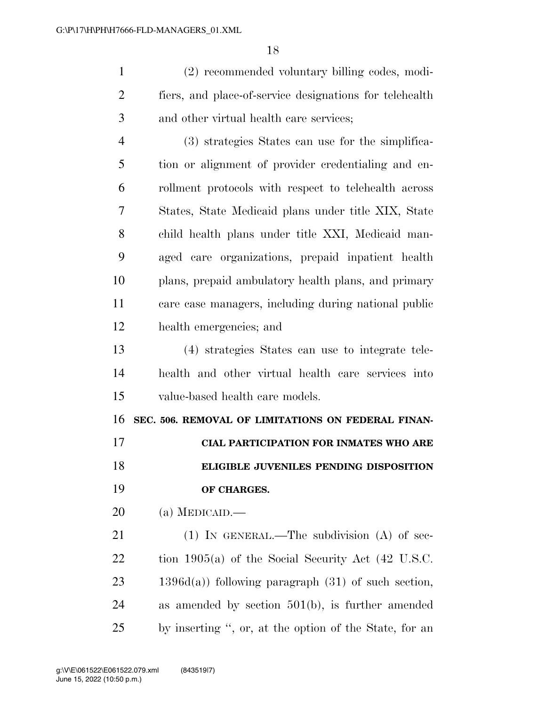(2) recommended voluntary billing codes, modi- fiers, and place-of-service designations for telehealth and other virtual health care services;

 (3) strategies States can use for the simplifica- tion or alignment of provider credentialing and en- rollment protocols with respect to telehealth across States, State Medicaid plans under title XIX, State child health plans under title XXI, Medicaid man- aged care organizations, prepaid inpatient health plans, prepaid ambulatory health plans, and primary care case managers, including during national public health emergencies; and

 (4) strategies States can use to integrate tele- health and other virtual health care services into value-based health care models.

 **SEC. 506. REMOVAL OF LIMITATIONS ON FEDERAL FINAN-CIAL PARTICIPATION FOR INMATES WHO ARE** 

 **ELIGIBLE JUVENILES PENDING DISPOSITION OF CHARGES.** 

(a) MEDICAID.—

21 (1) IN GENERAL.—The subdivision (A) of sec- tion 1905(a) of the Social Security Act (42 U.S.C.  $23 \qquad 1396d(a)$  following paragraph  $(31)$  of such section, as amended by section 501(b), is further amended by inserting '', or, at the option of the State, for an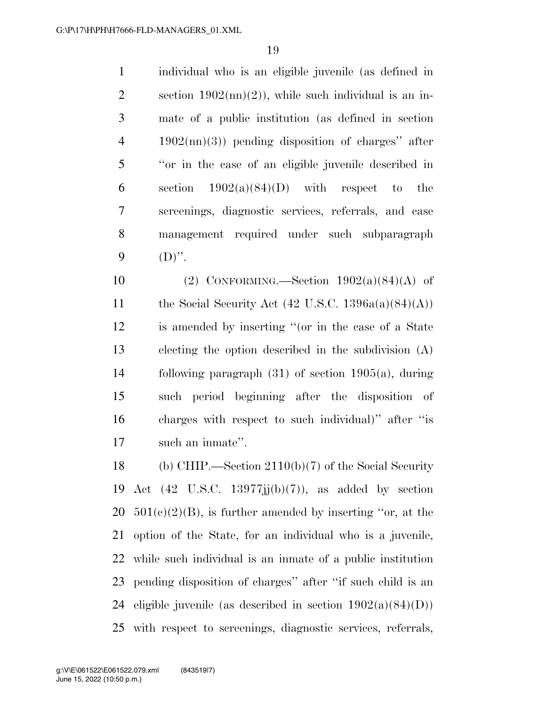individual who is an eligible juvenile (as defined in 2 section  $1902 \text{(nn)}(2)$ , while such individual is an in- mate of a public institution (as defined in section 1902(nn)(3)) pending disposition of charges'' after ''or in the case of an eligible juvenile described in 6 section  $1902(a)(84)(D)$  with respect to the screenings, diagnostic services, referrals, and case management required under such subparagraph 9  $(D)$ ".

 $(2)$  CONFORMING. Section  $1902(a)(84)(A)$  of 11 the Social Security Act  $(42 \text{ U.S.C. } 1396a(a)(84)(A))$  is amended by inserting ''(or in the case of a State electing the option described in the subdivision (A) following paragraph (31) of section 1905(a), during such period beginning after the disposition of charges with respect to such individual)'' after ''is such an inmate''.

 (b) CHIP.—Section 2110(b)(7) of the Social Security 19 Act  $(42 \text{ U.S.C. } 13977\text{ji(b)}(7))$ , as added by section  $501(e)(2)(B)$ , is further amended by inserting "or, at the option of the State, for an individual who is a juvenile, while such individual is an inmate of a public institution pending disposition of charges'' after ''if such child is an 24 eligible juvenile (as described in section  $1902(a)(84)(D)$ ) with respect to screenings, diagnostic services, referrals,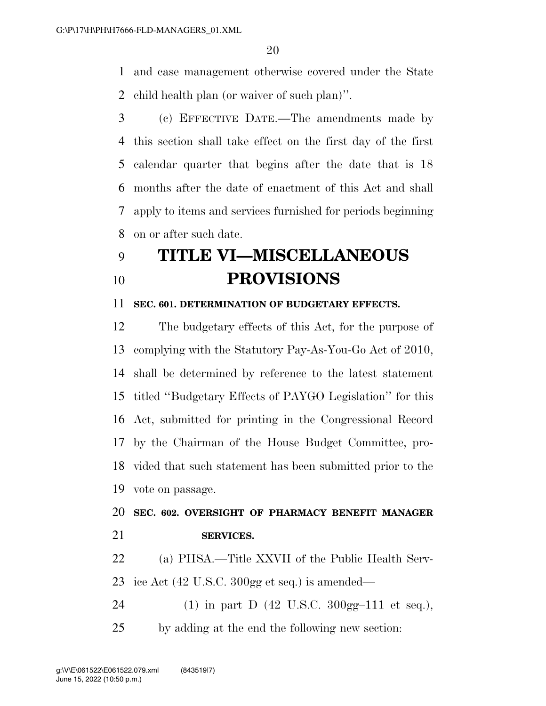and case management otherwise covered under the State child health plan (or waiver of such plan)''.

 (c) EFFECTIVE DATE.—The amendments made by this section shall take effect on the first day of the first calendar quarter that begins after the date that is 18 months after the date of enactment of this Act and shall apply to items and services furnished for periods beginning on or after such date.

# **TITLE VI—MISCELLANEOUS PROVISIONS**

#### **SEC. 601. DETERMINATION OF BUDGETARY EFFECTS.**

 The budgetary effects of this Act, for the purpose of complying with the Statutory Pay-As-You-Go Act of 2010, shall be determined by reference to the latest statement titled ''Budgetary Effects of PAYGO Legislation'' for this Act, submitted for printing in the Congressional Record by the Chairman of the House Budget Committee, pro- vided that such statement has been submitted prior to the vote on passage.

### **SEC. 602. OVERSIGHT OF PHARMACY BENEFIT MANAGER SERVICES.**

 (a) PHSA.—Title XXVII of the Public Health Serv-ice Act (42 U.S.C. 300gg et seq.) is amended—

24 (1) in part D  $(42 \text{ U.S.C. } 300 \text{ gg} - 111 \text{ et seq.}),$ by adding at the end the following new section: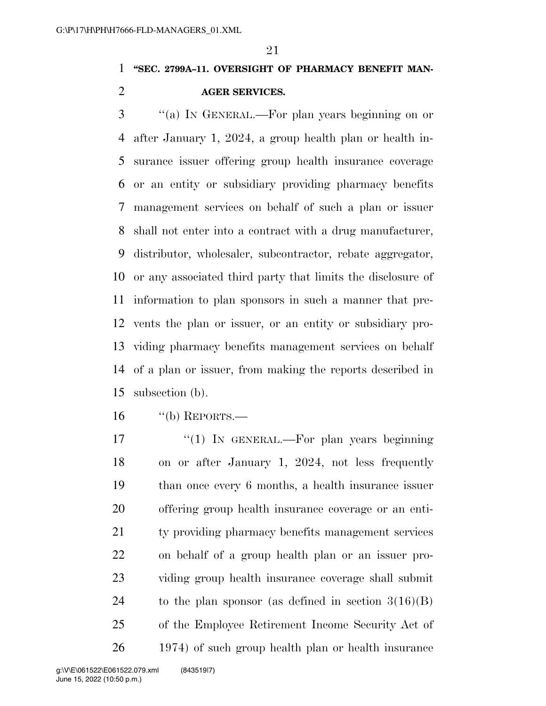### **''SEC. 2799A–11. OVERSIGHT OF PHARMACY BENEFIT MAN-AGER SERVICES.**

 ''(a) IN GENERAL.—For plan years beginning on or after January 1, 2024, a group health plan or health in- surance issuer offering group health insurance coverage or an entity or subsidiary providing pharmacy benefits management services on behalf of such a plan or issuer shall not enter into a contract with a drug manufacturer, distributor, wholesaler, subcontractor, rebate aggregator, or any associated third party that limits the disclosure of information to plan sponsors in such a manner that pre- vents the plan or issuer, or an entity or subsidiary pro- viding pharmacy benefits management services on behalf of a plan or issuer, from making the reports described in subsection (b).

''(b) REPORTS.—

17 "(1) In GENERAL.—For plan years beginning on or after January 1, 2024, not less frequently than once every 6 months, a health insurance issuer offering group health insurance coverage or an enti- ty providing pharmacy benefits management services on behalf of a group health plan or an issuer pro- viding group health insurance coverage shall submit 24 to the plan sponsor (as defined in section  $3(16)(B)$ ) of the Employee Retirement Income Security Act of 1974) of such group health plan or health insurance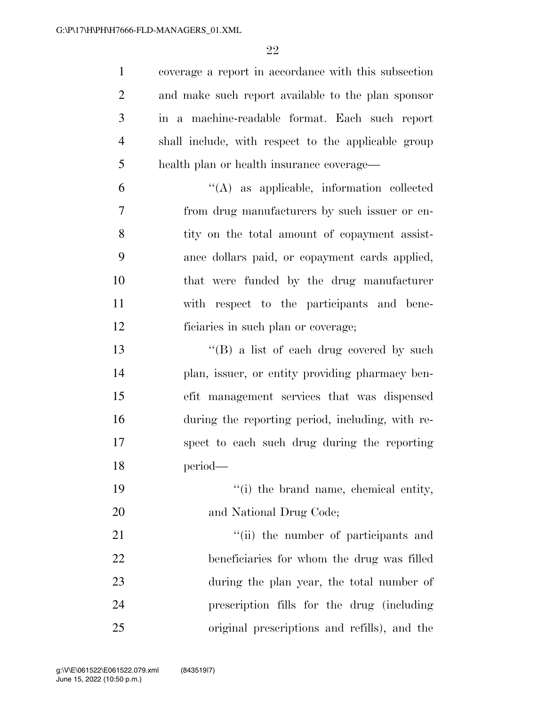coverage a report in accordance with this subsection and make such report available to the plan sponsor in a machine-readable format. Each such report shall include, with respect to the applicable group health plan or health insurance coverage—

 ''(A) as applicable, information collected from drug manufacturers by such issuer or en-8 tity on the total amount of copayment assist- ance dollars paid, or copayment cards applied, that were funded by the drug manufacturer with respect to the participants and bene-ficiaries in such plan or coverage;

13 ''(B) a list of each drug covered by such plan, issuer, or entity providing pharmacy ben- efit management services that was dispensed during the reporting period, including, with re- spect to each such drug during the reporting period—

 ''(i) the brand name, chemical entity, 20 and National Drug Code;

21 ''(ii) the number of participants and beneficiaries for whom the drug was filled during the plan year, the total number of prescription fills for the drug (including original prescriptions and refills), and the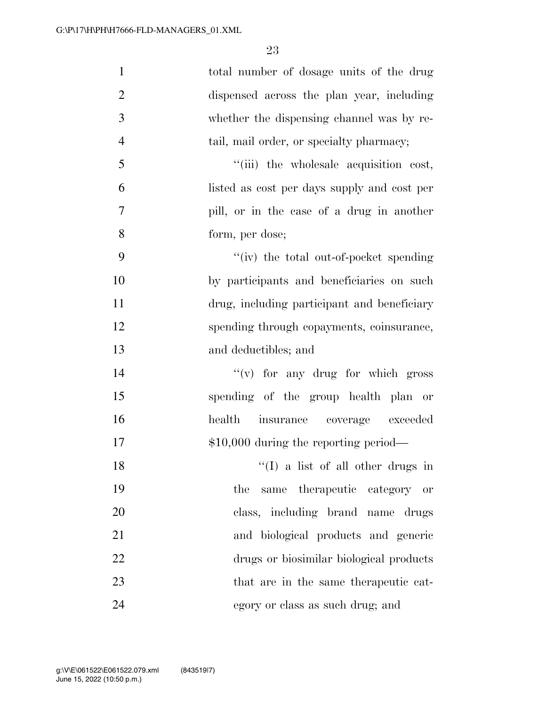| $\mathbf{1}$   | total number of dosage units of the drug    |
|----------------|---------------------------------------------|
| $\overline{2}$ | dispensed across the plan year, including   |
| 3              | whether the dispensing channel was by re-   |
| $\overline{4}$ | tail, mail order, or specialty pharmacy;    |
| 5              | "(iii) the wholesale acquisition cost,      |
| 6              | listed as cost per days supply and cost per |
| $\tau$         | pill, or in the case of a drug in another   |
| 8              | form, per dose;                             |
| 9              | "(iv) the total out-of-pocket spending      |
| 10             | by participants and beneficiaries on such   |
| 11             | drug, including participant and beneficiary |
| 12             | spending through copayments, coinsurance,   |
| 13             | and deductibles; and                        |
| 14             | $f'(v)$ for any drug for which gross        |
| 15             | spending of the group health plan or        |
| 16             | health insurance coverage exceeded          |
| 17             | $$10,000$ during the reporting period—      |
| 18             | $\lq(1)$ a list of all other drugs in       |
| 19             | same therapeutic category<br>the<br>- or    |
| 20             | class, including brand name drugs           |
| 21             | and biological products and generic         |
| 22             | drugs or biosimilar biological products     |
| 23             | that are in the same therapeutic cat-       |
| 24             | egory or class as such drug; and            |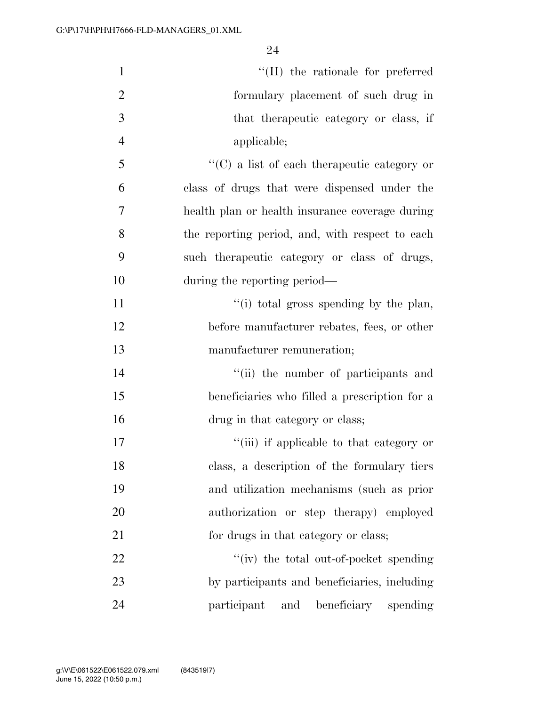| $\mathbf{1}$   | "(II) the rationale for preferred                   |
|----------------|-----------------------------------------------------|
| $\overline{2}$ | formulary placement of such drug in                 |
| 3              | that the rapeutic category or class, if             |
| $\overline{4}$ | applicable;                                         |
| 5              | $\lq\lq$ (C) a list of each therapeutic category or |
| 6              | class of drugs that were dispensed under the        |
| $\overline{7}$ | health plan or health insurance coverage during     |
| 8              | the reporting period, and, with respect to each     |
| 9              | such the rapeutic category or class of drugs,       |
| 10             | during the reporting period—                        |
| 11             | "(i) total gross spending by the plan,              |
| 12             | before manufacturer rebates, fees, or other         |
| 13             | manufacturer remuneration;                          |
| 14             | "(ii) the number of participants and                |
| 15             | beneficiaries who filled a prescription for a       |
| 16             | drug in that category or class;                     |
| 17             | "(iii) if applicable to that category or            |
| 18             | class, a description of the formulary tiers         |
| 19             | and utilization mechanisms (such as prior           |
| 20             | authorization or step therapy) employed             |
| 21             | for drugs in that category or class;                |
| 22             | "(iv) the total out-of-pocket spending              |
| 23             | by participants and beneficiaries, including        |
| 24             | beneficiary spending<br>participant<br>and          |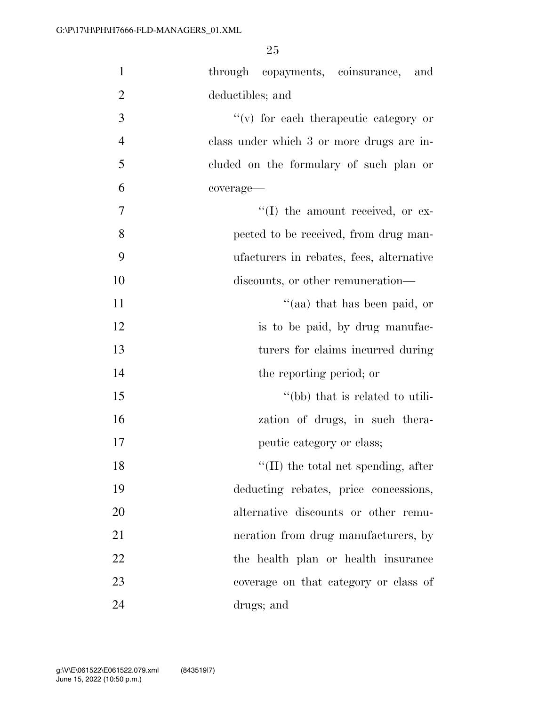| $\mathbf{1}$   | through copayments, coinsurance, and        |
|----------------|---------------------------------------------|
| $\overline{2}$ | deductibles; and                            |
| 3              | $f'(v)$ for each therapeutic category or    |
| $\overline{4}$ | class under which 3 or more drugs are in-   |
| 5              | cluded on the formulary of such plan or     |
| 6              | coverage-                                   |
| $\tau$         | "(I) the amount received, or ex-            |
| 8              | pected to be received, from drug man-       |
| 9              | ufacturers in rebates, fees, alternative    |
| 10             | discounts, or other remuneration—           |
| 11             | "(aa) that has been paid, or                |
| 12             | is to be paid, by drug manufac-             |
| 13             | turers for claims incurred during           |
| 14             | the reporting period; or                    |
| 15             | "(bb) that is related to utili-             |
| 16             | zation of drugs, in such thera-             |
| 17             | peutic category or class;                   |
| 18             | $\lq\lq$ (II) the total net spending, after |
| 19             | deducting rebates, price concessions,       |
| 20             | alternative discounts or other remu-        |
| 21             | neration from drug manufacturers, by        |
| 22             | the health plan or health insurance         |
| 23             | coverage on that category or class of       |
| 24             | drugs; and                                  |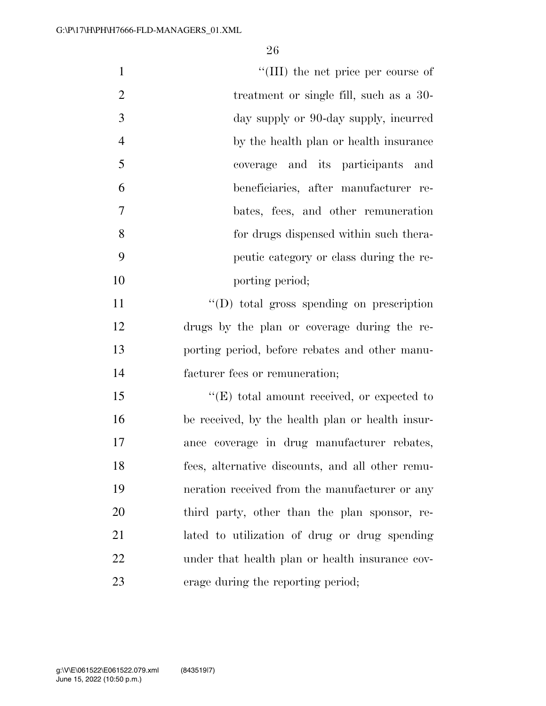| $\mathbf{1}$   | "(III) the net price per course of                |
|----------------|---------------------------------------------------|
| $\overline{2}$ | treatment or single fill, such as a 30-           |
| 3              | day supply or 90-day supply, incurred             |
| $\overline{4}$ | by the health plan or health insurance            |
| 5              | coverage and its participants and                 |
| 6              | beneficiaries, after manufacturer re-             |
| 7              | bates, fees, and other remuneration               |
| 8              | for drugs dispensed within such thera-            |
| 9              | peutic category or class during the re-           |
| 10             | porting period;                                   |
| 11             | "(D) total gross spending on prescription         |
| 12             | drugs by the plan or coverage during the re-      |
| 13             | porting period, before rebates and other manu-    |
| 14             | facturer fees or remuneration;                    |
| 15             | $\lq\lq(E)$ total amount received, or expected to |
| 16             | be received, by the health plan or health insur-  |
| 17             | ance coverage in drug manufacturer rebates,       |
| 18             | fees, alternative discounts, and all other remu-  |
| 19             | neration received from the manufacturer or any    |
| 20             | third party, other than the plan sponsor, re-     |
| 21             | lated to utilization of drug or drug spending     |
| 22             | under that health plan or health insurance cov-   |
| 23             | erage during the reporting period;                |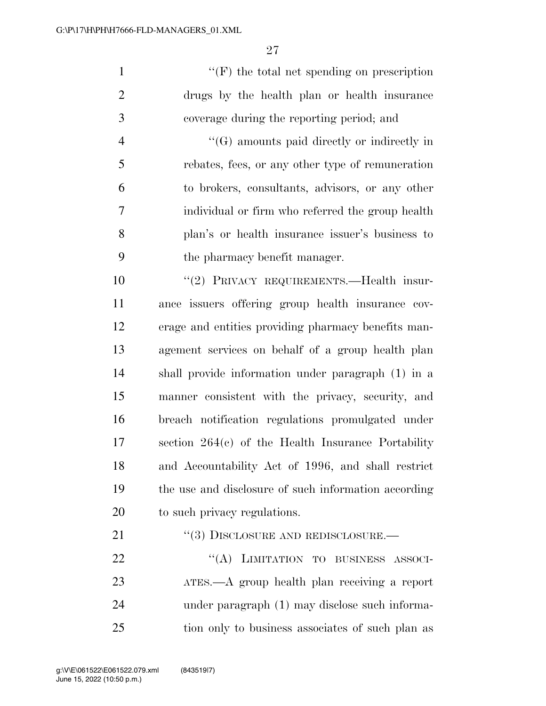''(F) the total net spending on prescription drugs by the health plan or health insurance coverage during the reporting period; and

 ''(G) amounts paid directly or indirectly in rebates, fees, or any other type of remuneration to brokers, consultants, advisors, or any other individual or firm who referred the group health plan's or health insurance issuer's business to the pharmacy benefit manager.

 ''(2) PRIVACY REQUIREMENTS.—Health insur- ance issuers offering group health insurance cov- erage and entities providing pharmacy benefits man- agement services on behalf of a group health plan shall provide information under paragraph (1) in a manner consistent with the privacy, security, and breach notification regulations promulgated under section 264(c) of the Health Insurance Portability and Accountability Act of 1996, and shall restrict the use and disclosure of such information according to such privacy regulations.

21 "(3) DISCLOSURE AND REDISCLOSURE.—

22 "(A) LIMITATION TO BUSINESS ASSOCI- ATES.—A group health plan receiving a report under paragraph (1) may disclose such informa-tion only to business associates of such plan as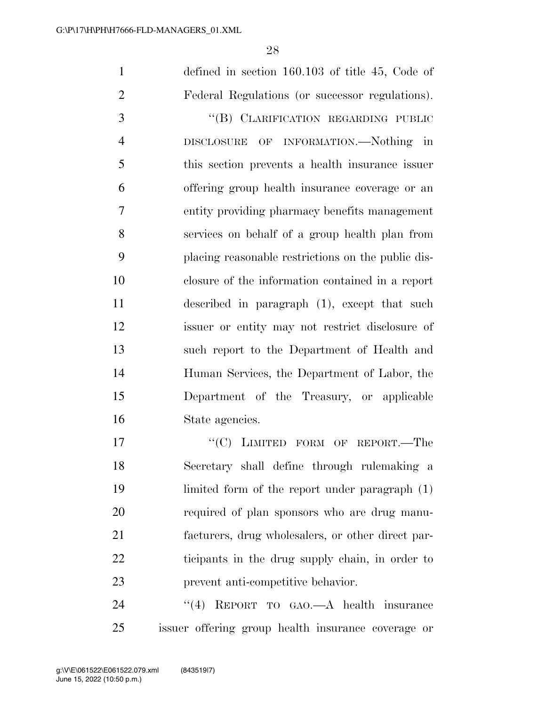defined in section 160.103 of title 45, Code of Federal Regulations (or successor regulations).

3 "(B) CLARIFICATION REGARDING PUBLIC DISCLOSURE OF INFORMATION.—Nothing in this section prevents a health insurance issuer offering group health insurance coverage or an entity providing pharmacy benefits management services on behalf of a group health plan from placing reasonable restrictions on the public dis- closure of the information contained in a report described in paragraph (1), except that such issuer or entity may not restrict disclosure of such report to the Department of Health and Human Services, the Department of Labor, the Department of the Treasury, or applicable State agencies.

17 "'(C) LIMITED FORM OF REPORT.—The Secretary shall define through rulemaking a limited form of the report under paragraph (1) required of plan sponsors who are drug manu- facturers, drug wholesalers, or other direct par- ticipants in the drug supply chain, in order to prevent anti-competitive behavior.

24 "(4) REPORT TO GAO.—A health insurance issuer offering group health insurance coverage or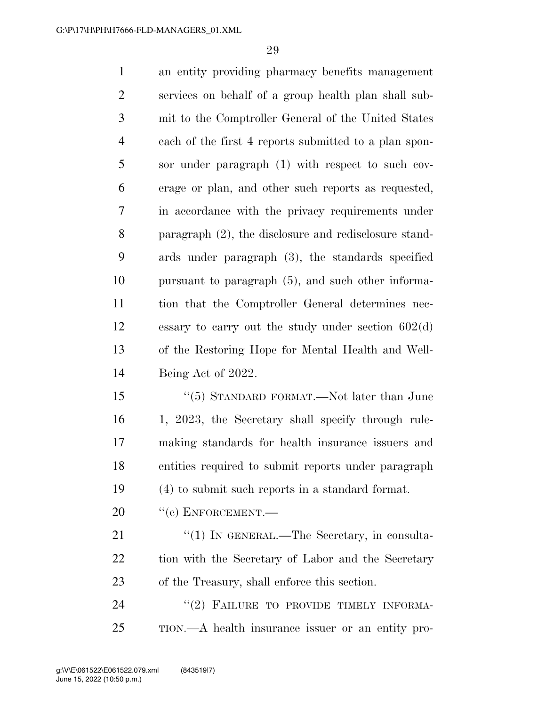| $\mathbf{1}$   | an entity providing pharmacy benefits management         |
|----------------|----------------------------------------------------------|
| $\overline{2}$ | services on behalf of a group health plan shall sub-     |
| 3              | mit to the Comptroller General of the United States      |
| $\overline{4}$ | each of the first 4 reports submitted to a plan spon-    |
| 5              | sor under paragraph (1) with respect to such cov-        |
| 6              | erage or plan, and other such reports as requested,      |
| 7              | in accordance with the privacy requirements under        |
| 8              | paragraph $(2)$ , the disclosure and redisclosure stand- |
| 9              | ards under paragraph (3), the standards specified        |
| 10             | pursuant to paragraph (5), and such other informa-       |
| 11             | tion that the Comptroller General determines nec-        |
| 12             | essary to carry out the study under section $602(d)$     |
| 13             | of the Restoring Hope for Mental Health and Well-        |
| 14             | Being Act of 2022.                                       |
| 15             | " $(5)$ STANDARD FORMAT.—Not later than June             |
| 16             | 1, 2023, the Secretary shall specify through rule-       |
| 17             | making standards for health insurance issuers and        |
| 18             | entities required to submit reports under paragraph      |
| 19             | (4) to submit such reports in a standard format.         |
| 20             | $``(c)$ ENFORCEMENT.—                                    |
| 21             | " $(1)$ In GENERAL.—The Secretary, in consulta-          |
| 22             | tion with the Secretary of Labor and the Secretary       |
| 23             | of the Treasury, shall enforce this section.             |

24 "(2) FAILURE TO PROVIDE TIMELY INFORMA-TION.—A health insurance issuer or an entity pro-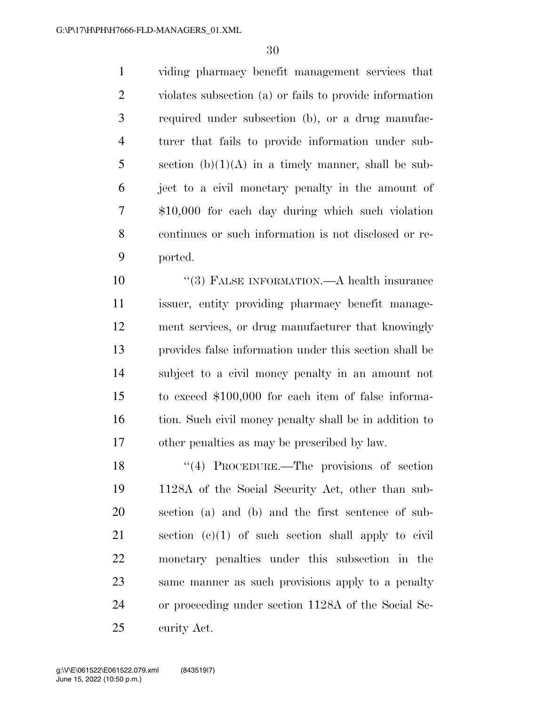viding pharmacy benefit management services that violates subsection (a) or fails to provide information required under subsection (b), or a drug manufac- turer that fails to provide information under sub-5 section  $(b)(1)(A)$  in a timely manner, shall be sub- ject to a civil monetary penalty in the amount of \$10,000 for each day during which such violation continues or such information is not disclosed or re-ported.

 $(3)$  FALSE INFORMATION.—A health insurance issuer, entity providing pharmacy benefit manage- ment services, or drug manufacturer that knowingly provides false information under this section shall be subject to a civil money penalty in an amount not to exceed \$100,000 for each item of false informa-16 tion. Such civil money penalty shall be in addition to other penalties as may be prescribed by law.

18 ''(4) PROCEDURE.—The provisions of section 1128A of the Social Security Act, other than sub- section (a) and (b) and the first sentence of sub- section (c)(1) of such section shall apply to civil monetary penalties under this subsection in the same manner as such provisions apply to a penalty or proceeding under section 1128A of the Social Se-curity Act.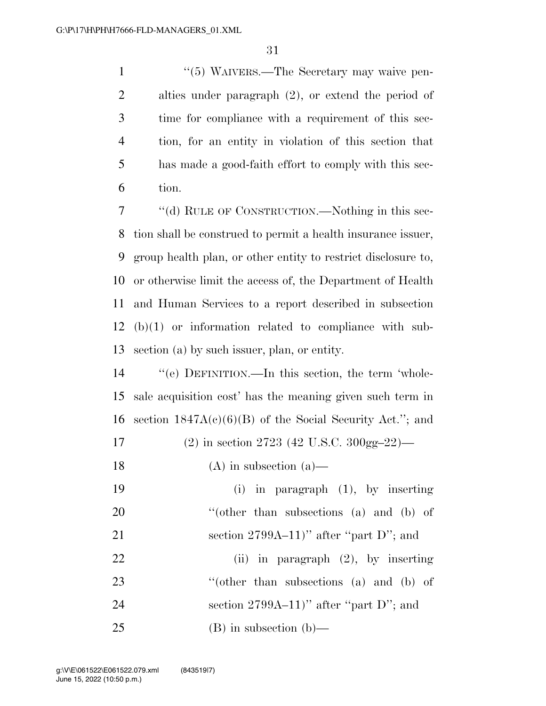1 ''(5) WAIVERS.—The Secretary may waive pen- alties under paragraph (2), or extend the period of time for compliance with a requirement of this sec- tion, for an entity in violation of this section that has made a good-faith effort to comply with this sec-tion.

 ''(d) RULE OF CONSTRUCTION.—Nothing in this sec- tion shall be construed to permit a health insurance issuer, group health plan, or other entity to restrict disclosure to, or otherwise limit the access of, the Department of Health and Human Services to a report described in subsection (b)(1) or information related to compliance with sub-section (a) by such issuer, plan, or entity.

 ''(e) DEFINITION.—In this section, the term 'whole- sale acquisition cost' has the meaning given such term in 16 section  $1847A(c)(6)(B)$  of the Social Security Act."; and

(2) in section 2723 (42 U.S.C. 300gg–22)—

- 18 (A) in subsection  $(a)$ —
- (i) in paragraph (1), by inserting 20 "(other than subsections (a) and (b) of 21 section 2799A–11)" after "part  $D$ "; and
- (ii) in paragraph (2), by inserting 23 "(other than subsections (a) and (b) of 24 section 2799A–11)" after "part D"; and (B) in subsection (b)—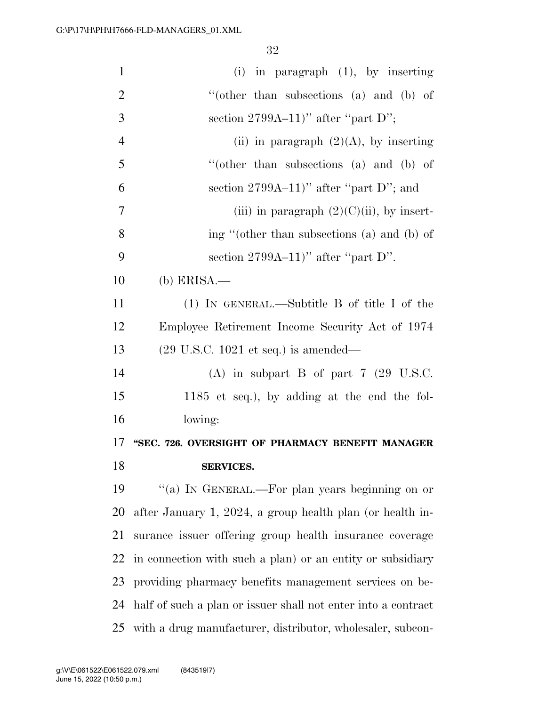| $\mathbf{1}$   | $(i)$ in paragraph $(1)$ , by inserting                       |
|----------------|---------------------------------------------------------------|
| $\overline{2}$ | "(other than subsections $(a)$ and $(b)$ of                   |
| 3              | section $2799A-11$ " after "part D";                          |
| $\overline{4}$ | (ii) in paragraph $(2)(A)$ , by inserting                     |
| 5              | "(other than subsections (a) and (b) of                       |
| 6              | section $2799A-11$ " after "part D"; and                      |
| 7              | (iii) in paragraph $(2)(C)(ii)$ , by insert-                  |
| 8              | ing "(other than subsections (a) and (b) of                   |
| 9              | section $2799A-11$ " after "part D".                          |
| 10             | $(b)$ ERISA.—                                                 |
| 11             | $(1)$ IN GENERAL.—Subtitle B of title I of the                |
| 12             | Employee Retirement Income Security Act of 1974               |
| 13             | $(29 \text{ U.S.C. } 1021 \text{ et seq.})$ is amended—       |
| 14             | (A) in subpart B of part $7$ (29 U.S.C.                       |
| 15             | $1185$ et seq.), by adding at the end the fol-                |
| 16             | lowing:                                                       |
| 17             | "SEC. 726. OVERSIGHT OF PHARMACY BENEFIT MANAGER              |
| 18             | <b>SERVICES.</b>                                              |
| 19             | "(a) IN GENERAL.—For plan years beginning on or               |
| 20             | after January 1, 2024, a group health plan (or health in-     |
| 21             | surance issuer offering group health insurance coverage       |
| 22             | in connection with such a plan) or an entity or subsidiary    |
| 23             | providing pharmacy benefits management services on be-        |
| 24             | half of such a plan or issuer shall not enter into a contract |
| 25             | with a drug manufacturer, distributor, wholesaler, subcon-    |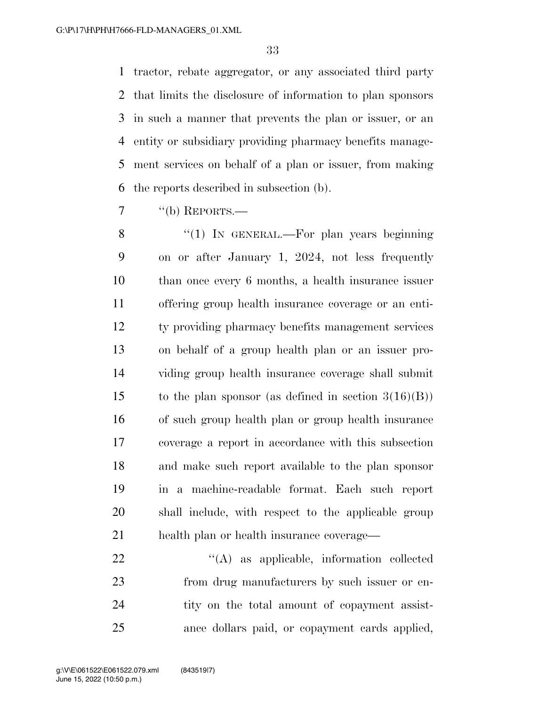tractor, rebate aggregator, or any associated third party that limits the disclosure of information to plan sponsors in such a manner that prevents the plan or issuer, or an entity or subsidiary providing pharmacy benefits manage- ment services on behalf of a plan or issuer, from making the reports described in subsection (b).

 $\frac{7}{100}$  ''(b) REPORTS.—

8 "(1) In GENERAL.—For plan years beginning on or after January 1, 2024, not less frequently than once every 6 months, a health insurance issuer offering group health insurance coverage or an enti- ty providing pharmacy benefits management services on behalf of a group health plan or an issuer pro- viding group health insurance coverage shall submit 15 to the plan sponsor (as defined in section  $3(16)(B)$ ) of such group health plan or group health insurance coverage a report in accordance with this subsection and make such report available to the plan sponsor in a machine-readable format. Each such report shall include, with respect to the applicable group health plan or health insurance coverage—

22 "'(A) as applicable, information collected from drug manufacturers by such issuer or en-24 tity on the total amount of copayment assist-ance dollars paid, or copayment cards applied,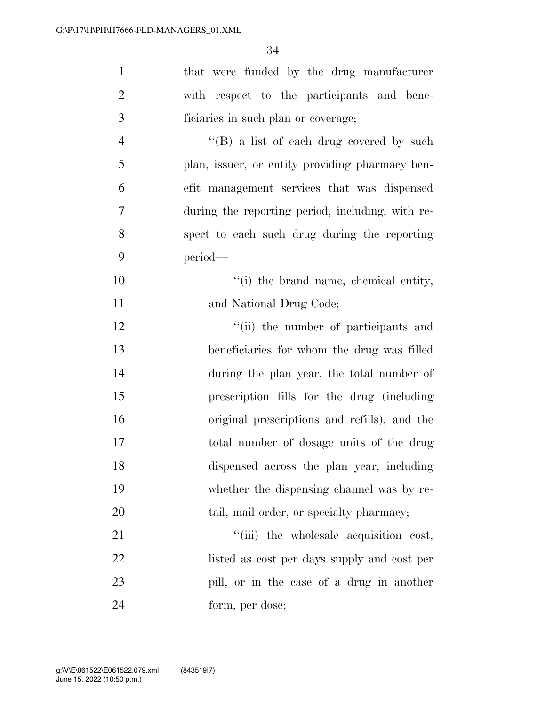| $\mathbf{1}$   | that were funded by the drug manufacturer        |
|----------------|--------------------------------------------------|
| $\overline{2}$ | with respect to the participants and bene-       |
| 3              | ficiaries in such plan or coverage;              |
| $\overline{4}$ | "(B) a list of each drug covered by such         |
| 5              | plan, issuer, or entity providing pharmacy ben-  |
| 6              | efit management services that was dispensed      |
| $\tau$         | during the reporting period, including, with re- |
| 8              | spect to each such drug during the reporting     |
| 9              | period-                                          |
| 10             | "(i) the brand name, chemical entity,            |
| 11             | and National Drug Code;                          |
| 12             | "(ii) the number of participants and             |
| 13             | beneficiaries for whom the drug was filled       |
| 14             | during the plan year, the total number of        |
| 15             | prescription fills for the drug (including       |
| 16             | original prescriptions and refills), and the     |
| 17             | total number of dosage units of the drug         |
| 18             | dispensed across the plan year, including        |
| 19             | whether the dispensing channel was by re-        |
| 20             | tail, mail order, or specialty pharmacy;         |
| 21             | "(iii) the wholesale acquisition cost,           |
| 22             | listed as cost per days supply and cost per      |
| 23             | pill, or in the case of a drug in another        |
| 24             | form, per dose;                                  |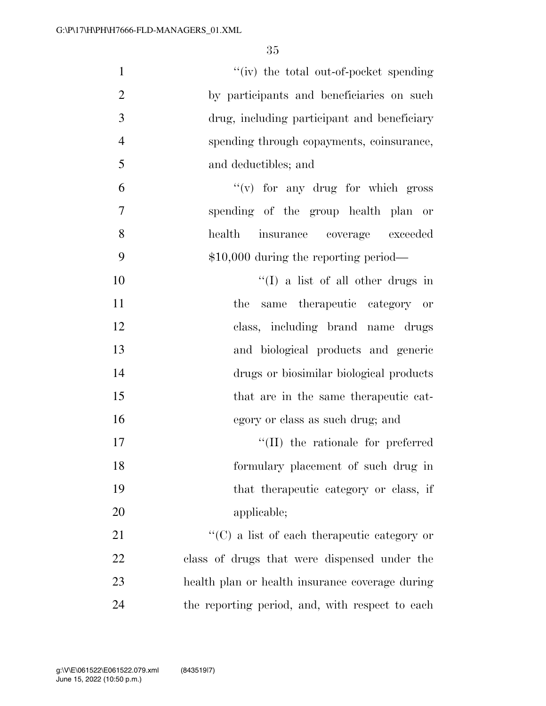| $\mathbf{1}$   | "(iv) the total out-of-pocket spending              |
|----------------|-----------------------------------------------------|
| $\overline{2}$ | by participants and beneficiaries on such           |
| 3              | drug, including participant and beneficiary         |
| $\overline{4}$ | spending through copayments, coinsurance,           |
| 5              | and deductibles; and                                |
| 6              | $f'(v)$ for any drug for which gross                |
| 7              | spending of the group health plan or                |
| 8              | health<br>insurance coverage exceeded               |
| 9              | $$10,000$ during the reporting period—              |
| 10             | $\lq\lq$ (I) a list of all other drugs in           |
| 11             | same therapeutic category or<br>the                 |
| 12             | class, including brand name drugs                   |
| 13             | and biological products and generic                 |
| 14             | drugs or biosimilar biological products             |
| 15             | that are in the same therapeutic cat-               |
| 16             | egory or class as such drug; and                    |
| 17             | $\lq\lq$ (II) the rationale for preferred           |
| 18             | formulary placement of such drug in                 |
| 19             | that the rapeutic category or class, if             |
| 20             | applicable;                                         |
| 21             | $\lq\lq$ (C) a list of each therapeutic category or |
| 22             | class of drugs that were dispensed under the        |
| 23             | health plan or health insurance coverage during     |
| 24             | the reporting period, and, with respect to each     |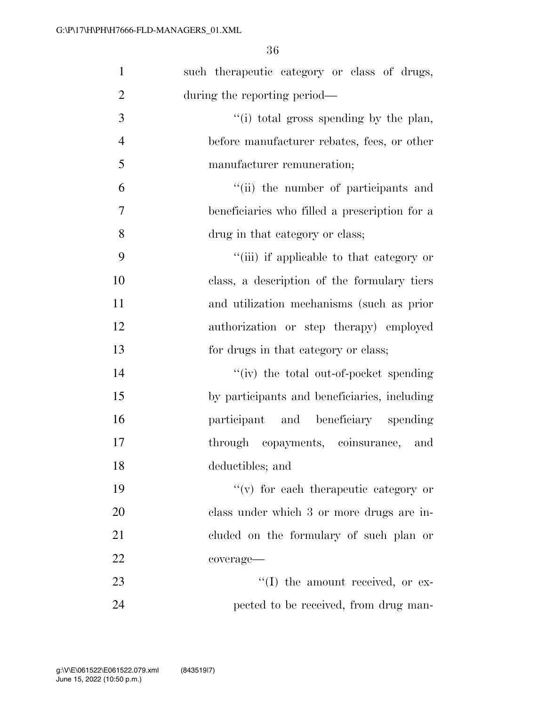| $\mathbf{1}$   | such the rapeutic category or class of drugs, |
|----------------|-----------------------------------------------|
| $\overline{2}$ | during the reporting period—                  |
| 3              | "(i) total gross spending by the plan,        |
| $\overline{4}$ | before manufacturer rebates, fees, or other   |
| 5              | manufacturer remuneration;                    |
| 6              | "(ii) the number of participants and          |
| 7              | beneficiaries who filled a prescription for a |
| 8              | drug in that category or class;               |
| 9              | "(iii) if applicable to that category or      |
| 10             | class, a description of the formulary tiers   |
| 11             | and utilization mechanisms (such as prior     |
| 12             | authorization or step therapy) employed       |
| 13             | for drugs in that category or class;          |
| 14             | "(iv) the total out-of-pocket spending        |
| 15             | by participants and beneficiaries, including  |
| 16             | participant and beneficiary spending          |
| 17             | through copayments, coinsurance, and          |
| 18             | deductibles; and                              |
| 19             | $f'(v)$ for each therapeutic category or      |
| 20             | class under which 3 or more drugs are in-     |
| 21             | cluded on the formulary of such plan or       |
| 22             | coverage-                                     |
| 23             | $\lq\lq$ the amount received, or ex-          |
| 24             | pected to be received, from drug man-         |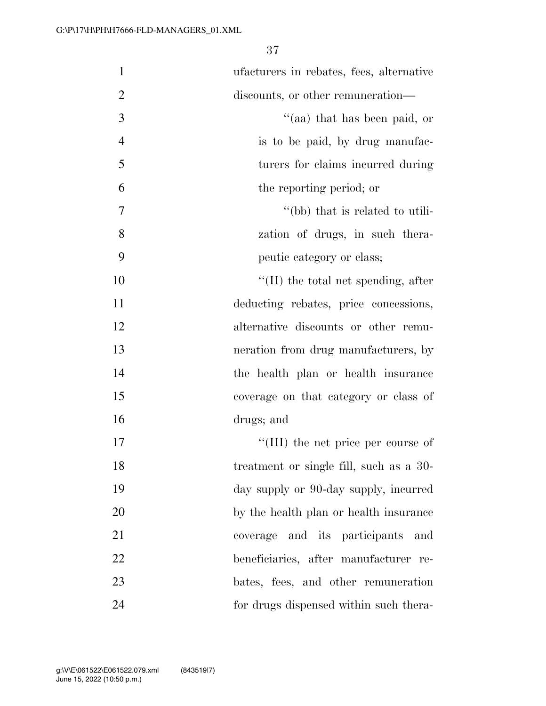| $\mathbf{1}$   | ufacturers in rebates, fees, alternative |
|----------------|------------------------------------------|
| $\overline{2}$ | discounts, or other remuneration—        |
| 3              | "(aa) that has been paid, or             |
| $\overline{4}$ | is to be paid, by drug manufac-          |
| 5              | turers for claims incurred during        |
| 6              | the reporting period; or                 |
| 7              | "(bb) that is related to utili-          |
| 8              | zation of drugs, in such thera-          |
| 9              | peutic category or class;                |
| 10             | $\lq$ (II) the total net spending, after |
| 11             | deducting rebates, price concessions,    |
| 12             | alternative discounts or other remu-     |
| 13             | neration from drug manufacturers, by     |
| 14             | the health plan or health insurance      |
| 15             | coverage on that category or class of    |
| 16             | drugs; and                               |
| 17             | "(III) the net price per course of       |
| 18             | treatment or single fill, such as a 30-  |
| 19             | day supply or 90-day supply, incurred    |
| 20             | by the health plan or health insurance   |
| 21             | coverage and its participants and        |
| 22             | beneficiaries, after manufacturer re-    |
| 23             | bates, fees, and other remuneration      |
| 24             | for drugs dispensed within such thera-   |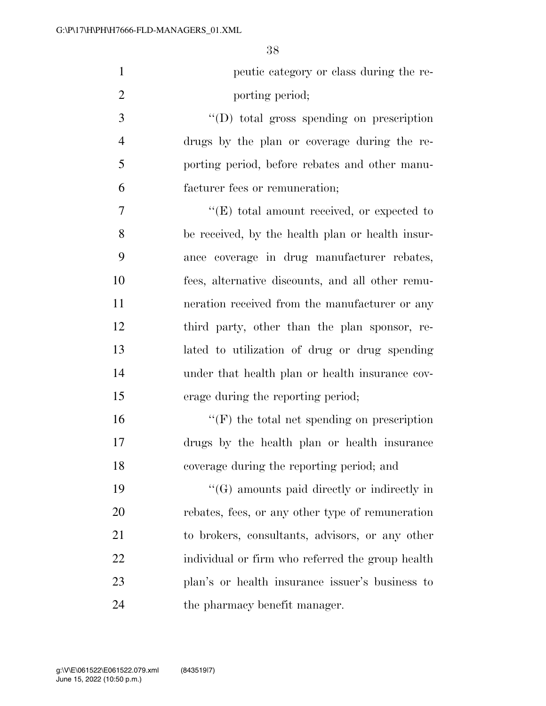| $\mathbf{1}$   | peutic category or class during the re-            |
|----------------|----------------------------------------------------|
| $\overline{2}$ | porting period;                                    |
| 3              | $\lq\lq$ total gross spending on prescription      |
| $\overline{4}$ | drugs by the plan or coverage during the re-       |
| 5              | porting period, before rebates and other manu-     |
| 6              | facturer fees or remuneration;                     |
| 7              | $\lq\lq(E)$ total amount received, or expected to  |
| 8              | be received, by the health plan or health insur-   |
| 9              | ance coverage in drug manufacturer rebates,        |
| 10             | fees, alternative discounts, and all other remu-   |
| 11             | neration received from the manufacturer or any     |
| 12             | third party, other than the plan sponsor, re-      |
| 13             | lated to utilization of drug or drug spending      |
| 14             | under that health plan or health insurance cov-    |
| 15             | erage during the reporting period;                 |
| 16             | $\lq\lq(F)$ the total net spending on prescription |
| 17             | drugs by the health plan or health insurance       |
| 18             | coverage during the reporting period; and          |
| 19             | $\lq\lq(G)$ amounts paid directly or indirectly in |
| 20             | rebates, fees, or any other type of remuneration   |
| 21             | to brokers, consultants, advisors, or any other    |
| 22             | individual or firm who referred the group health   |
| 23             | plan's or health insurance issuer's business to    |
| 24             | the pharmacy benefit manager.                      |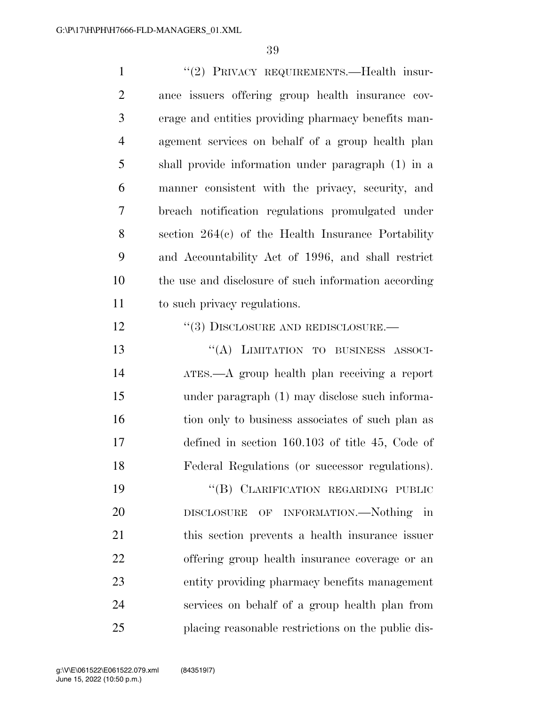| $\mathbf{1}$   | "(2) PRIVACY REQUIREMENTS.—Health insur-             |
|----------------|------------------------------------------------------|
| $\overline{2}$ | ance issuers offering group health insurance cov-    |
| 3              | erage and entities providing pharmacy benefits man-  |
| $\overline{4}$ | agement services on behalf of a group health plan    |
| 5              | shall provide information under paragraph (1) in a   |
| 6              | manner consistent with the privacy, security, and    |
| 7              | breach notification regulations promulgated under    |
| 8              | section $264(c)$ of the Health Insurance Portability |
| 9              | and Accountability Act of 1996, and shall restrict   |
| 10             | the use and disclosure of such information according |
| 11             | to such privacy regulations.                         |
| 12             | $``(3)$ DISCLOSURE AND REDISCLOSURE.—                |
| 13             | "(A) LIMITATION TO BUSINESS ASSOCI-                  |
| 14             | ATES.—A group health plan receiving a report         |
| 15             | under paragraph (1) may disclose such informa-       |
| 16             | tion only to business associates of such plan as     |
| 17             | defined in section $160.103$ of title 45, Code of    |
| 18             | Federal Regulations (or successor regulations).      |
| 19             | "(B) CLARIFICATION REGARDING PUBLIC                  |
| 20             | OF INFORMATION.—Nothing in<br>${\bf DISCLOSURE}$     |
| 21             | this section prevents a health insurance issuer      |
| 22             | offering group health insurance coverage or an       |
| 23             | entity providing pharmacy benefits management        |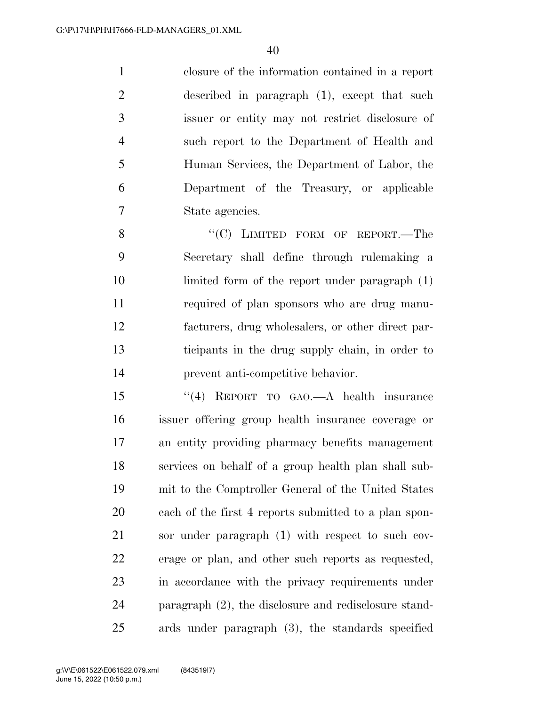closure of the information contained in a report described in paragraph (1), except that such issuer or entity may not restrict disclosure of such report to the Department of Health and Human Services, the Department of Labor, the Department of the Treasury, or applicable State agencies.

8 "(C) LIMITED FORM OF REPORT.—The Secretary shall define through rulemaking a limited form of the report under paragraph (1) required of plan sponsors who are drug manu- facturers, drug wholesalers, or other direct par- ticipants in the drug supply chain, in order to prevent anti-competitive behavior.

 ''(4) REPORT TO GAO.—A health insurance issuer offering group health insurance coverage or an entity providing pharmacy benefits management services on behalf of a group health plan shall sub- mit to the Comptroller General of the United States each of the first 4 reports submitted to a plan spon- sor under paragraph (1) with respect to such cov- erage or plan, and other such reports as requested, in accordance with the privacy requirements under paragraph (2), the disclosure and redisclosure stand-ards under paragraph (3), the standards specified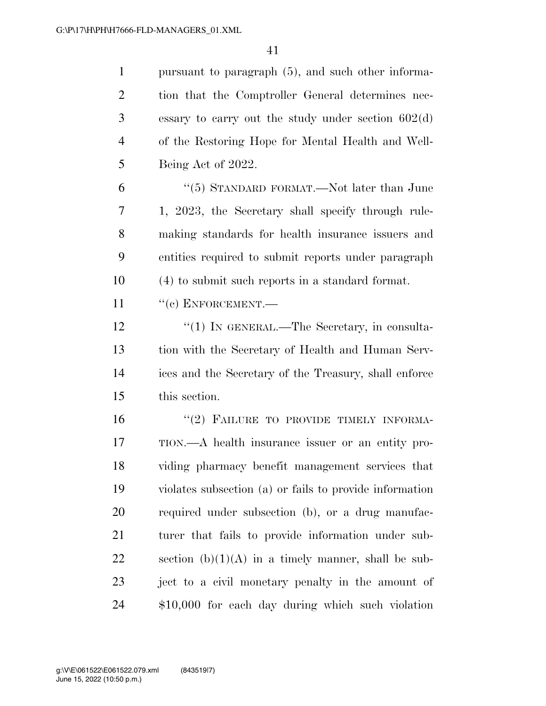pursuant to paragraph (5), and such other informa- tion that the Comptroller General determines nec- essary to carry out the study under section 602(d) of the Restoring Hope for Mental Health and Well-Being Act of 2022.

 ''(5) STANDARD FORMAT.—Not later than June 1, 2023, the Secretary shall specify through rule- making standards for health insurance issuers and entities required to submit reports under paragraph (4) to submit such reports in a standard format.

11 "(c) ENFORCEMENT.—

12 "(1) IN GENERAL.—The Secretary, in consulta- tion with the Secretary of Health and Human Serv- ices and the Secretary of the Treasury, shall enforce this section.

16 "(2) FAILURE TO PROVIDE TIMELY INFORMA- TION.—A health insurance issuer or an entity pro- viding pharmacy benefit management services that violates subsection (a) or fails to provide information required under subsection (b), or a drug manufac- turer that fails to provide information under sub-22 section  $(b)(1)(A)$  in a timely manner, shall be sub- ject to a civil monetary penalty in the amount of \$10,000 for each day during which such violation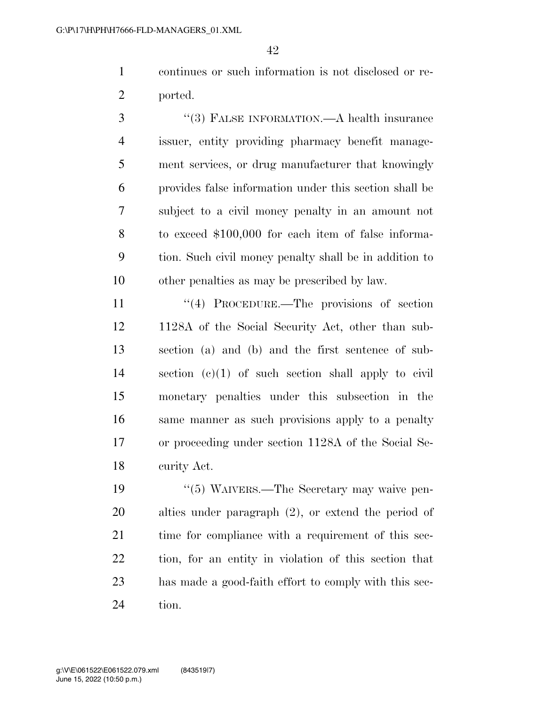continues or such information is not disclosed or re-ported.

 ''(3) FALSE INFORMATION.—A health insurance issuer, entity providing pharmacy benefit manage- ment services, or drug manufacturer that knowingly provides false information under this section shall be subject to a civil money penalty in an amount not to exceed \$100,000 for each item of false informa- tion. Such civil money penalty shall be in addition to other penalties as may be prescribed by law.

11 ''(4) PROCEDURE.—The provisions of section 1128A of the Social Security Act, other than sub- section (a) and (b) and the first sentence of sub- section (c)(1) of such section shall apply to civil monetary penalties under this subsection in the same manner as such provisions apply to a penalty or proceeding under section 1128A of the Social Se-curity Act.

 ''(5) WAIVERS.—The Secretary may waive pen- alties under paragraph (2), or extend the period of 21 time for compliance with a requirement of this sec- tion, for an entity in violation of this section that has made a good-faith effort to comply with this sec-tion.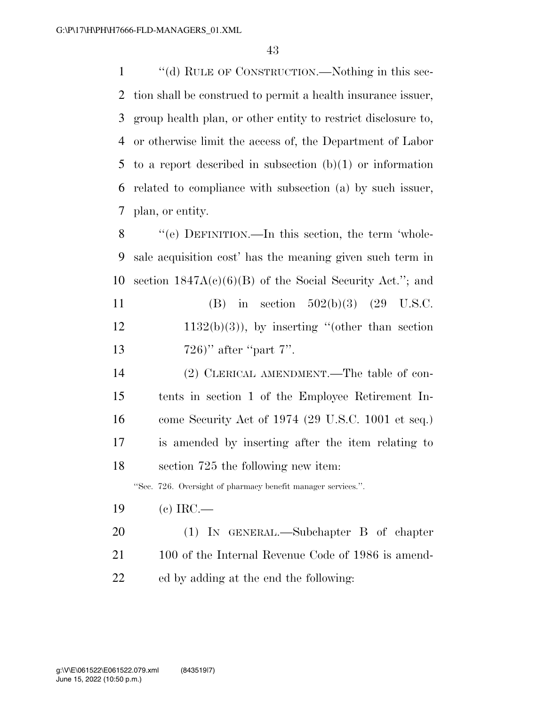''(d) RULE OF CONSTRUCTION.—Nothing in this sec- tion shall be construed to permit a health insurance issuer, group health plan, or other entity to restrict disclosure to, or otherwise limit the access of, the Department of Labor 5 to a report described in subsection  $(b)(1)$  or information related to compliance with subsection (a) by such issuer, plan, or entity.

 ''(e) DEFINITION.—In this section, the term 'whole- sale acquisition cost' has the meaning given such term in 10 section  $1847A(c)(6)(B)$  of the Social Security Act."; and 11 (B) in section  $502(b)(3)$  (29 U.S.C.

- $12 \t1132(b)(3)$ , by inserting "(other than section 13 726)'' after "part 7".
- (2) CLERICAL AMENDMENT.—The table of con- tents in section 1 of the Employee Retirement In- come Security Act of 1974 (29 U.S.C. 1001 et seq.) is amended by inserting after the item relating to section 725 the following new item:

''Sec. 726. Oversight of pharmacy benefit manager services.''.

- (c) IRC.—
- (1) IN GENERAL.—Subchapter B of chapter 21 100 of the Internal Revenue Code of 1986 is amend-ed by adding at the end the following: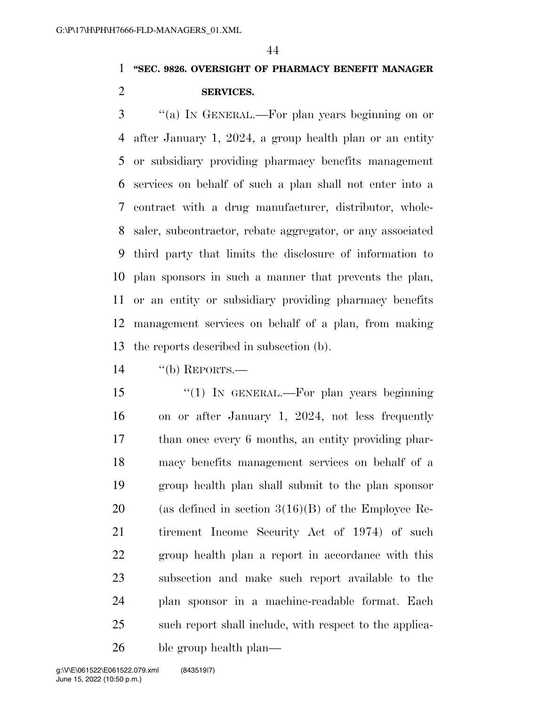### **''SEC. 9826. OVERSIGHT OF PHARMACY BENEFIT MANAGER SERVICES.**

 ''(a) IN GENERAL.—For plan years beginning on or after January 1, 2024, a group health plan or an entity or subsidiary providing pharmacy benefits management services on behalf of such a plan shall not enter into a contract with a drug manufacturer, distributor, whole- saler, subcontractor, rebate aggregator, or any associated third party that limits the disclosure of information to plan sponsors in such a manner that prevents the plan, or an entity or subsidiary providing pharmacy benefits management services on behalf of a plan, from making the reports described in subsection (b).

''(b) REPORTS.—

 ''(1) IN GENERAL.—For plan years beginning on or after January 1, 2024, not less frequently than once every 6 months, an entity providing phar- macy benefits management services on behalf of a group health plan shall submit to the plan sponsor 20 (as defined in section  $3(16)(B)$  of the Employee Re- tirement Income Security Act of 1974) of such group health plan a report in accordance with this subsection and make such report available to the plan sponsor in a machine-readable format. Each such report shall include, with respect to the applica-ble group health plan—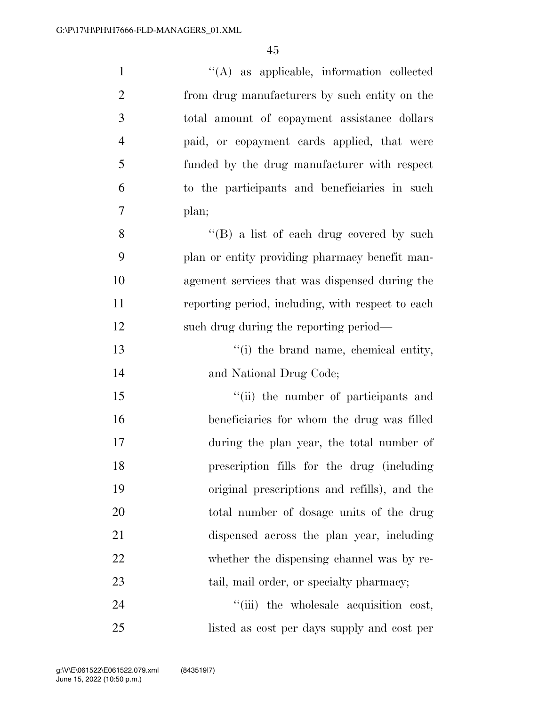| $\mathbf{1}$   | $\lq\lq$ as applicable, information collected     |
|----------------|---------------------------------------------------|
| $\overline{2}$ | from drug manufacturers by such entity on the     |
| 3              | total amount of copayment assistance dollars      |
| $\overline{4}$ | paid, or copayment cards applied, that were       |
| 5              | funded by the drug manufacturer with respect      |
| 6              | to the participants and beneficiaries in such     |
| 7              | plan;                                             |
| 8              | "(B) a list of each drug covered by such          |
| 9              | plan or entity providing pharmacy benefit man-    |
| 10             | agement services that was dispensed during the    |
| 11             | reporting period, including, with respect to each |
| 12             | such drug during the reporting period—            |
| 13             | "(i) the brand name, chemical entity,             |
| 14             | and National Drug Code;                           |
| 15             | "(ii) the number of participants and              |
| 16             | beneficiaries for whom the drug was filled        |
| 17             | during the plan year, the total number of         |
| 18             | prescription fills for the drug (including        |
| 19             | original prescriptions and refills), and the      |
| 20             | total number of dosage units of the drug          |
| 21             | dispensed across the plan year, including         |
| 22             | whether the dispensing channel was by re-         |
| 23             | tail, mail order, or specialty pharmacy;          |
| 24             | "(iii) the wholesale acquisition cost,            |
| 25             | listed as cost per days supply and cost per       |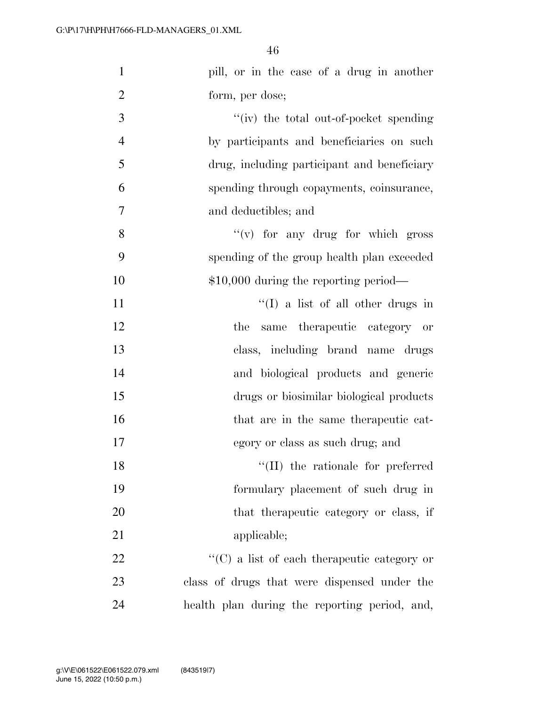| $\mathbf{1}$   | pill, or in the case of a drug in another           |
|----------------|-----------------------------------------------------|
| $\overline{2}$ | form, per dose;                                     |
| 3              | $``(iv)$ the total out-of-pocket spending           |
| $\overline{4}$ | by participants and beneficiaries on such           |
| 5              | drug, including participant and beneficiary         |
| 6              | spending through copayments, coinsurance,           |
| 7              | and deductibles; and                                |
| 8              | $f'(v)$ for any drug for which gross                |
| 9              | spending of the group health plan exceeded          |
| 10             | $$10,000$ during the reporting period—              |
| 11             | $\lq\lq$ (I) a list of all other drugs in           |
| 12             | same therapeutic category or<br>the                 |
| 13             | class, including brand name drugs                   |
| 14             | and biological products and generic                 |
| 15             | drugs or biosimilar biological products             |
| 16             | that are in the same therapeutic cat-               |
| 17             | egory or class as such drug; and                    |
| 18             | $\lq\lq$ (II) the rationale for preferred           |
| 19             | formulary placement of such drug in                 |
| $20\,$         | that the rapeutic category or class, if             |
| 21             | applicable;                                         |
| 22             | $\lq\lq$ (C) a list of each therapeutic category or |
| 23             | class of drugs that were dispensed under the        |
| 24             | health plan during the reporting period, and,       |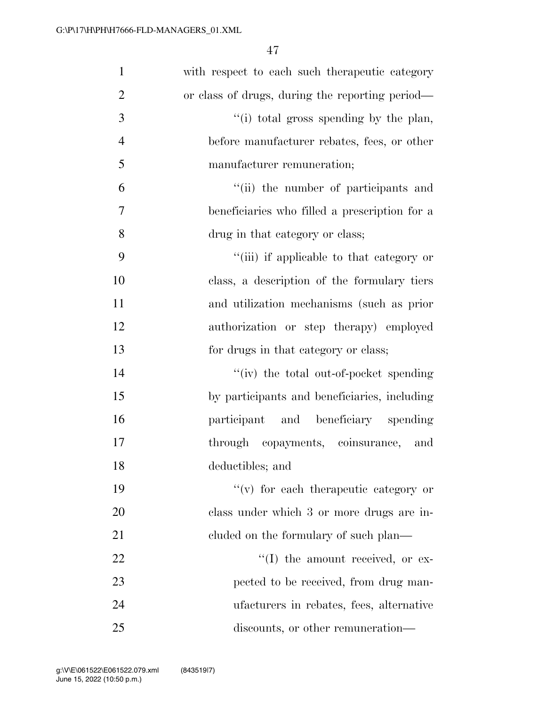| $\mathbf{1}$   | with respect to each such the rapeutic category |
|----------------|-------------------------------------------------|
| $\overline{2}$ | or class of drugs, during the reporting period— |
| 3              | "(i) total gross spending by the plan,          |
| $\overline{4}$ | before manufacturer rebates, fees, or other     |
| 5              | manufacturer remuneration;                      |
| 6              | "(ii) the number of participants and            |
| 7              | beneficiaries who filled a prescription for a   |
| 8              | drug in that category or class;                 |
| 9              | "(iii) if applicable to that category or        |
| 10             | class, a description of the formulary tiers     |
| 11             | and utilization mechanisms (such as prior       |
| 12             | authorization or step therapy) employed         |
| 13             | for drugs in that category or class;            |
| 14             | "(iv) the total out-of-pocket spending          |
| 15             | by participants and beneficiaries, including    |
| 16             | participant and beneficiary spending            |
| 17             | through copayments, coinsurance,<br>and         |
| 18             | deductibles; and                                |
| 19             | $f'(v)$ for each therapeutic category or        |
| 20             | class under which 3 or more drugs are in-       |
| 21             | cluded on the formulary of such plan—           |
| 22             | $\lq\lq$ the amount received, or ex-            |
| 23             | pected to be received, from drug man-           |
| 24             | ufacturers in rebates, fees, alternative        |
| 25             | discounts, or other remuneration—               |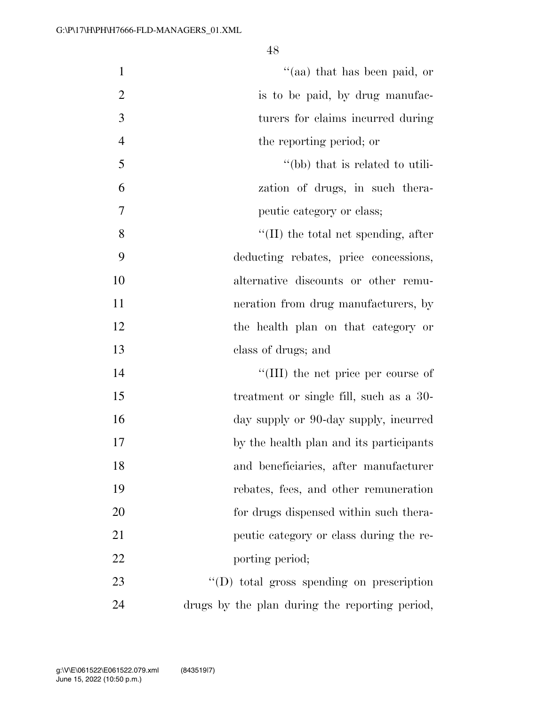| $\mathbf{1}$   | "(aa) that has been paid, or                   |
|----------------|------------------------------------------------|
| $\overline{2}$ | is to be paid, by drug manufac-                |
| 3              | turers for claims incurred during              |
| $\overline{4}$ | the reporting period; or                       |
| 5              | "(bb) that is related to utili-                |
| 6              | zation of drugs, in such thera-                |
| 7              | peutic category or class;                      |
| 8              | $\lq\lq$ (II) the total net spending, after    |
| 9              | deducting rebates, price concessions,          |
| 10             | alternative discounts or other remu-           |
| 11             | neration from drug manufacturers, by           |
| 12             | the health plan on that category or            |
| 13             | class of drugs; and                            |
| 14             | "(III) the net price per course of             |
| 15             | treatment or single fill, such as a 30-        |
| 16             | day supply or 90-day supply, incurred          |
| 17             | by the health plan and its participants        |
| 18             | and beneficiaries, after manufacturer          |
| 19             | rebates, fees, and other remuneration          |
| 20             | for drugs dispensed within such thera-         |
| 21             | peutic category or class during the re-        |
| 22             | porting period;                                |
| 23             | $\lq\lq$ total gross spending on prescription  |
| 24             | drugs by the plan during the reporting period, |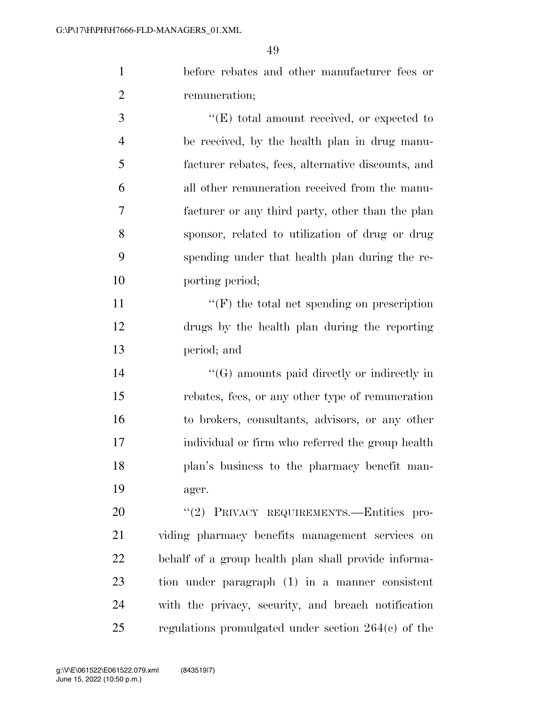before rebates and other manufacturer fees or remuneration;

 $\bullet$  (E) total amount received, or expected to be received, by the health plan in drug manu- facturer rebates, fees, alternative discounts, and all other remuneration received from the manu- facturer or any third party, other than the plan sponsor, related to utilization of drug or drug spending under that health plan during the re-porting period;

11  $"({\rm F})$  the total net spending on prescription drugs by the health plan during the reporting period; and

 ''(G) amounts paid directly or indirectly in rebates, fees, or any other type of remuneration to brokers, consultants, advisors, or any other individual or firm who referred the group health plan's business to the pharmacy benefit man-ager.

20 "(2) PRIVACY REQUIREMENTS.—Entities pro- viding pharmacy benefits management services on behalf of a group health plan shall provide informa- tion under paragraph (1) in a manner consistent with the privacy, security, and breach notification regulations promulgated under section 264(c) of the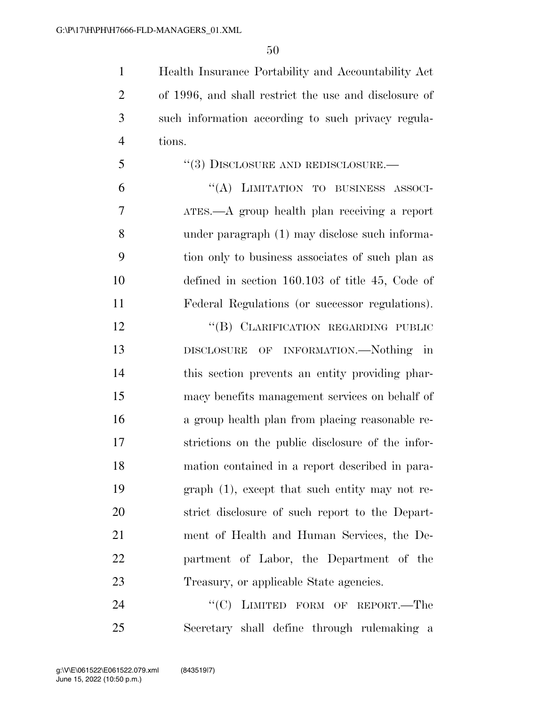Health Insurance Portability and Accountability Act of 1996, and shall restrict the use and disclosure of such information according to such privacy regula-tions.

 ''(3) DISCLOSURE AND REDISCLOSURE.— ''(A) LIMITATION TO BUSINESS ASSOCI-

 ATES.—A group health plan receiving a report under paragraph (1) may disclose such informa- tion only to business associates of such plan as defined in section 160.103 of title 45, Code of Federal Regulations (or successor regulations).

12 "(B) CLARIFICATION REGARDING PUBLIC DISCLOSURE OF INFORMATION.—Nothing in this section prevents an entity providing phar- macy benefits management services on behalf of a group health plan from placing reasonable re- strictions on the public disclosure of the infor- mation contained in a report described in para- graph (1), except that such entity may not re- strict disclosure of such report to the Depart- ment of Health and Human Services, the De- partment of Labor, the Department of the Treasury, or applicable State agencies.

24 "<sup>"</sup>(C) LIMITED FORM OF REPORT.—The Secretary shall define through rulemaking a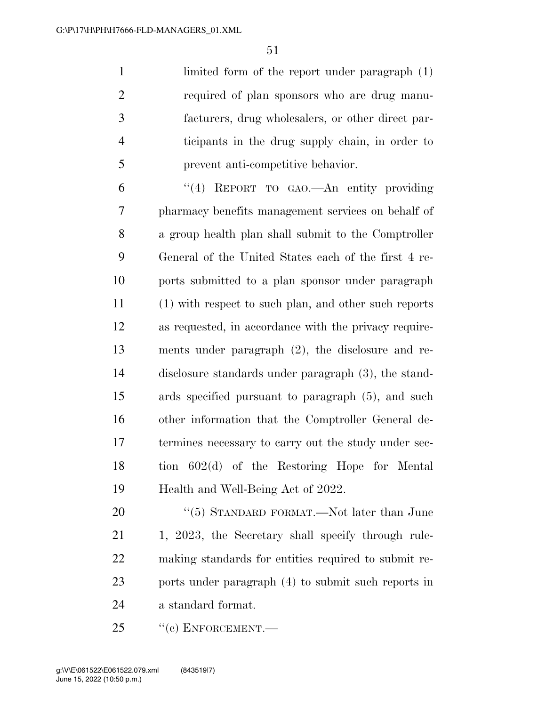limited form of the report under paragraph (1) required of plan sponsors who are drug manu- facturers, drug wholesalers, or other direct par- ticipants in the drug supply chain, in order to prevent anti-competitive behavior.

 ''(4) REPORT TO GAO.—An entity providing pharmacy benefits management services on behalf of a group health plan shall submit to the Comptroller General of the United States each of the first 4 re- ports submitted to a plan sponsor under paragraph (1) with respect to such plan, and other such reports as requested, in accordance with the privacy require- ments under paragraph (2), the disclosure and re- disclosure standards under paragraph (3), the stand- ards specified pursuant to paragraph (5), and such other information that the Comptroller General de- termines necessary to carry out the study under sec- tion 602(d) of the Restoring Hope for Mental Health and Well-Being Act of 2022.

20 "(5) STANDARD FORMAT.—Not later than June 21 1, 2023, the Secretary shall specify through rule- making standards for entities required to submit re- ports under paragraph (4) to submit such reports in a standard format.

25 "(c) ENFORCEMENT.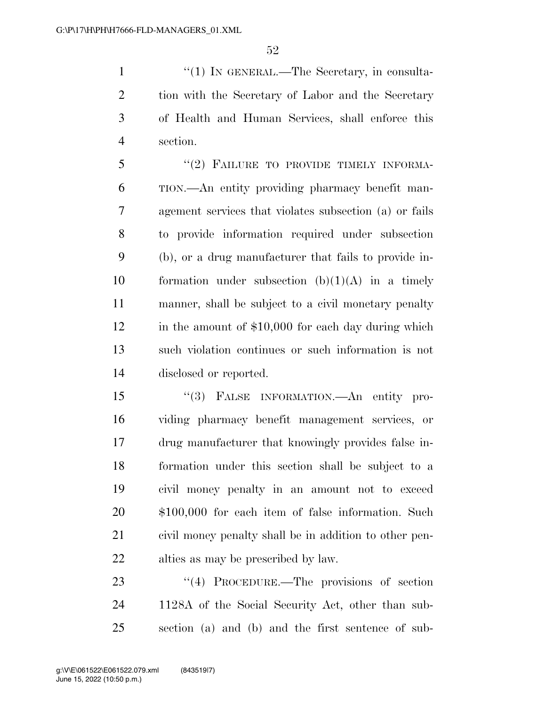1 ''(1) IN GENERAL.—The Secretary, in consulta- tion with the Secretary of Labor and the Secretary of Health and Human Services, shall enforce this section.

5 "(2) FAILURE TO PROVIDE TIMELY INFORMA- TION.—An entity providing pharmacy benefit man- agement services that violates subsection (a) or fails to provide information required under subsection (b), or a drug manufacturer that fails to provide in-10 formation under subsection  $(b)(1)(A)$  in a timely manner, shall be subject to a civil monetary penalty 12 in the amount of \$10,000 for each day during which such violation continues or such information is not disclosed or reported.

 ''(3) FALSE INFORMATION.—An entity pro- viding pharmacy benefit management services, or drug manufacturer that knowingly provides false in- formation under this section shall be subject to a civil money penalty in an amount not to exceed \$100,000 for each item of false information. Such civil money penalty shall be in addition to other pen-alties as may be prescribed by law.

23 "(4) PROCEDURE.—The provisions of section 1128A of the Social Security Act, other than sub-section (a) and (b) and the first sentence of sub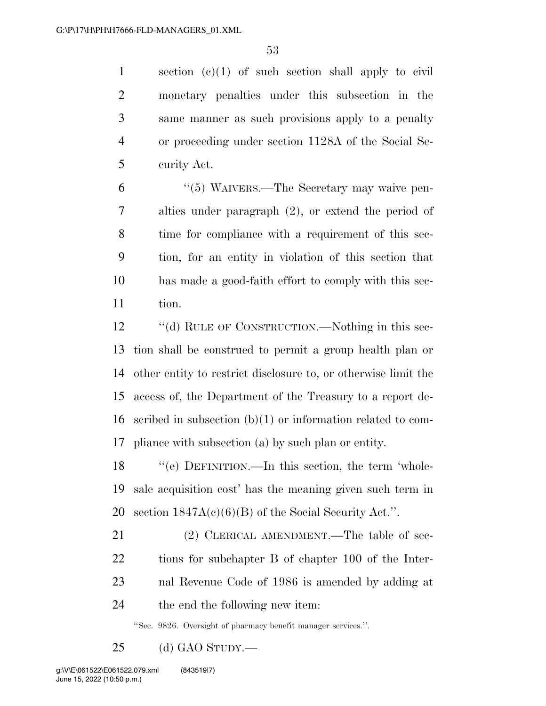section (c)(1) of such section shall apply to civil monetary penalties under this subsection in the same manner as such provisions apply to a penalty or proceeding under section 1128A of the Social Se-curity Act.

 ''(5) WAIVERS.—The Secretary may waive pen- alties under paragraph (2), or extend the period of time for compliance with a requirement of this sec- tion, for an entity in violation of this section that has made a good-faith effort to comply with this sec-tion.

12 "(d) RULE OF CONSTRUCTION.—Nothing in this sec- tion shall be construed to permit a group health plan or other entity to restrict disclosure to, or otherwise limit the access of, the Department of the Treasury to a report de- scribed in subsection (b)(1) or information related to com-pliance with subsection (a) by such plan or entity.

 ''(e) DEFINITION.—In this section, the term 'whole- sale acquisition cost' has the meaning given such term in 20 section  $1847A(c)(6)(B)$  of the Social Security Act.".

21 (2) CLERICAL AMENDMENT.—The table of sec- tions for subchapter B of chapter 100 of the Inter- nal Revenue Code of 1986 is amended by adding at the end the following new item:

''Sec. 9826. Oversight of pharmacy benefit manager services.''.

(d) GAO STUDY.—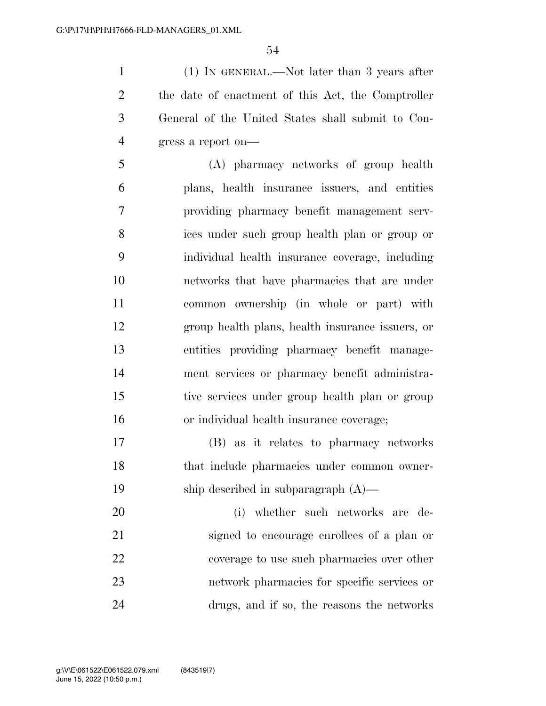(1) IN GENERAL.—Not later than 3 years after the date of enactment of this Act, the Comptroller General of the United States shall submit to Con-gress a report on—

 (A) pharmacy networks of group health plans, health insurance issuers, and entities providing pharmacy benefit management serv- ices under such group health plan or group or individual health insurance coverage, including networks that have pharmacies that are under common ownership (in whole or part) with group health plans, health insurance issuers, or entities providing pharmacy benefit manage- ment services or pharmacy benefit administra- tive services under group health plan or group or individual health insurance coverage;

 (B) as it relates to pharmacy networks that include pharmacies under common owner-ship described in subparagraph (A)—

 (i) whether such networks are de- signed to encourage enrollees of a plan or coverage to use such pharmacies over other network pharmacies for specific services or drugs, and if so, the reasons the networks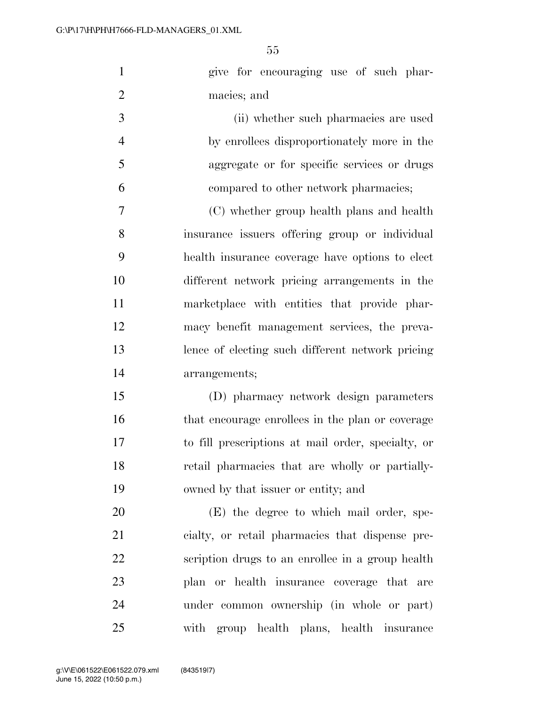| $\mathbf{1}$   | give for encouraging use of such phar-             |
|----------------|----------------------------------------------------|
| $\overline{2}$ | macies; and                                        |
| 3              | (ii) whether such pharmacies are used              |
| $\overline{4}$ | by enrollees disproportionately more in the        |
| 5              | aggregate or for specific services or drugs        |
| 6              | compared to other network pharmacies;              |
| $\tau$         | (C) whether group health plans and health          |
| 8              | insurance issuers offering group or individual     |
| 9              | health insurance coverage have options to elect    |
| 10             | different network pricing arrangements in the      |
| 11             | marketplace with entities that provide phar-       |
| 12             | macy benefit management services, the preva-       |
| 13             | lence of electing such different network pricing   |
| 14             | arrangements;                                      |
| 15             | (D) pharmacy network design parameters             |
| 16             | that encourage enrollees in the plan or coverage   |
| 17             | to fill prescriptions at mail order, specialty, or |
| 18             | retail pharmacies that are wholly or partially-    |
| 19             | owned by that issuer or entity; and                |
| 20             | (E) the degree to which mail order, spe-           |
| 21             | cialty, or retail pharmacies that dispense pre-    |
| 22             | scription drugs to an enrollee in a group health   |
| 23             | plan or health insurance coverage that are         |
| 24             | under common ownership (in whole or part)          |
| 25             | with group health plans, health insurance          |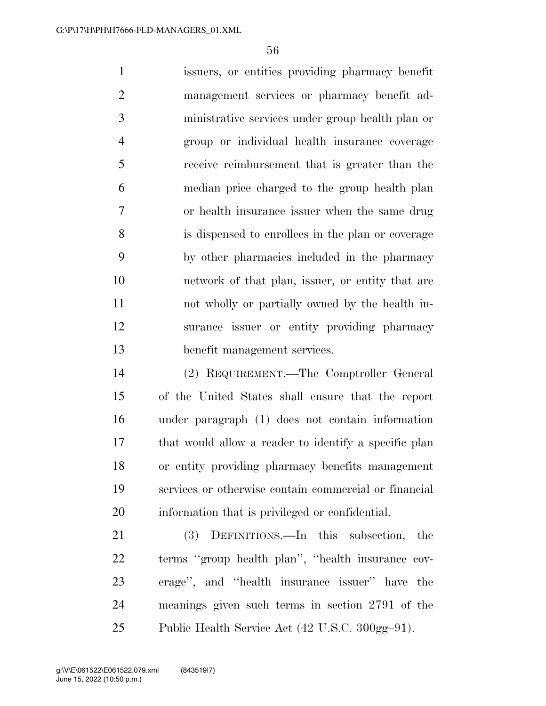issuers, or entities providing pharmacy benefit management services or pharmacy benefit ad- ministrative services under group health plan or group or individual health insurance coverage receive reimbursement that is greater than the median price charged to the group health plan or health insurance issuer when the same drug is dispensed to enrollees in the plan or coverage by other pharmacies included in the pharmacy network of that plan, issuer, or entity that are not wholly or partially owned by the health in- surance issuer or entity providing pharmacy benefit management services.

 (2) REQUIREMENT.—The Comptroller General of the United States shall ensure that the report under paragraph (1) does not contain information that would allow a reader to identify a specific plan or entity providing pharmacy benefits management services or otherwise contain commercial or financial information that is privileged or confidential.

 (3) DEFINITIONS.—In this subsection, the terms ''group health plan'', ''health insurance cov- erage'', and ''health insurance issuer'' have the meanings given such terms in section 2791 of the Public Health Service Act (42 U.S.C. 300gg–91).